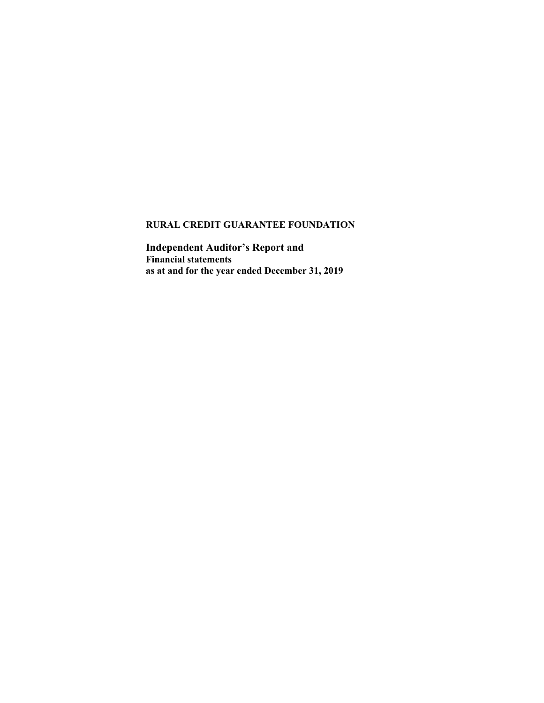Independent Auditor's Report and Financial statements as at and for the year ended December 31, 2019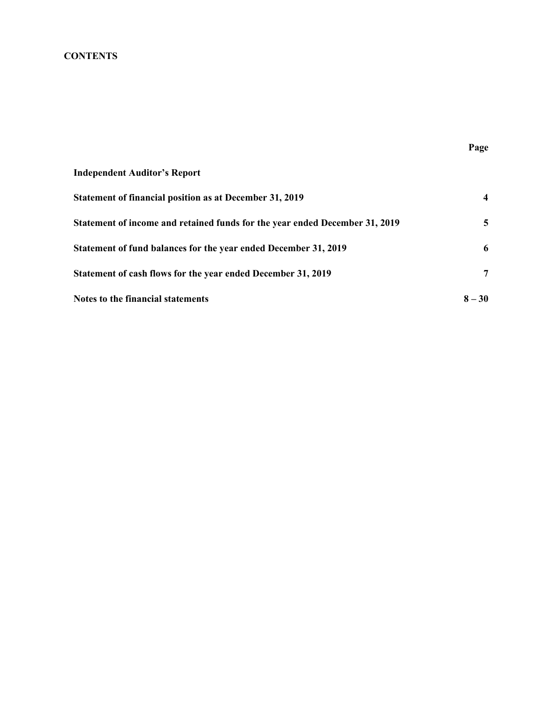# **CONTENTS**

| <b>Independent Auditor's Report</b>                                         |                         |
|-----------------------------------------------------------------------------|-------------------------|
| Statement of financial position as at December 31, 2019                     | $\overline{\mathbf{4}}$ |
| Statement of income and retained funds for the year ended December 31, 2019 | 5                       |
| Statement of fund balances for the year ended December 31, 2019             | 6                       |
| Statement of cash flows for the year ended December 31, 2019                | 7                       |
| Notes to the financial statements                                           | $8 - 30$                |

Page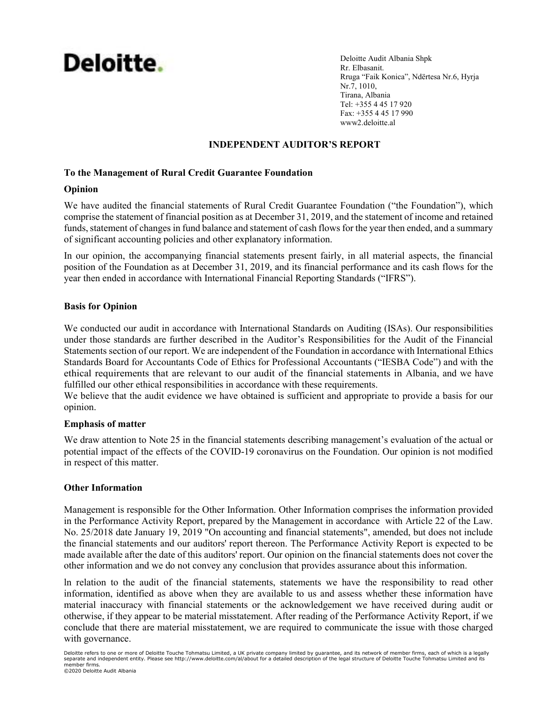# Deloitte.

Deloitte Audit Albania Shpk Rr. Elbasanit. Rruga "Faik Konica", Ndërtesa Nr.6, Hyrja Nr.7, 1010, Tirana, Albania Tel: +355 4 45 17 920 Fax: +355 4 45 17 990 www2.deloitte.al

# INDEPENDENT AUDITOR'S REPORT

## To the Management of Rural Credit Guarantee Foundation

### Opinion

We have audited the financial statements of Rural Credit Guarantee Foundation ("the Foundation"), which comprise the statement of financial position as at December 31, 2019, and the statement of income and retained funds, statement of changes in fund balance and statement of cash flows for the year then ended, and a summary of significant accounting policies and other explanatory information.

In our opinion, the accompanying financial statements present fairly, in all material aspects, the financial position of the Foundation as at December 31, 2019, and its financial performance and its cash flows for the year then ended in accordance with International Financial Reporting Standards ("IFRS").

## Basis for Opinion

We conducted our audit in accordance with International Standards on Auditing (ISAs). Our responsibilities under those standards are further described in the Auditor's Responsibilities for the Audit of the Financial Statements section of our report. We are independent of the Foundation in accordance with International Ethics Standards Board for Accountants Code of Ethics for Professional Accountants ("IESBA Code") and with the ethical requirements that are relevant to our audit of the financial statements in Albania, and we have fulfilled our other ethical responsibilities in accordance with these requirements.

We believe that the audit evidence we have obtained is sufficient and appropriate to provide a basis for our opinion.

### Emphasis of matter

We draw attention to Note 25 in the financial statements describing management's evaluation of the actual or potential impact of the effects of the COVID-19 coronavirus on the Foundation. Our opinion is not modified in respect of this matter.

### Other Information

Management is responsible for the Other Information. Other Information comprises the information provided in the Performance Activity Report, prepared by the Management in accordance with Article 22 of the Law. No. 25/2018 date January 19, 2019 "On accounting and financial statements", amended, but does not include the financial statements and our auditors' report thereon. The Performance Activity Report is expected to be made available after the date of this auditors' report. Our opinion on the financial statements does not cover the other information and we do not convey any conclusion that provides assurance about this information.

ln relation to the audit of the financial statements, statements we have the responsibility to read other information, identified as above when they are available to us and assess whether these information have material inaccuracy with financial statements or the acknowledgement we have received during audit or otherwise, if they appear to be material misstatement. After reading of the Performance Activity Report, if we conclude that there are material misstatement, we are required to communicate the issue with those charged with governance.

Deloitte refers to one or more of Deloitte Touche Tohmatsu Limited, a UK private company limited by guarantee, and its network of member firms, each of which is a legally<br>separate and independent entity. Please see http:// member firms. ©2020 Deloitte Audit Albania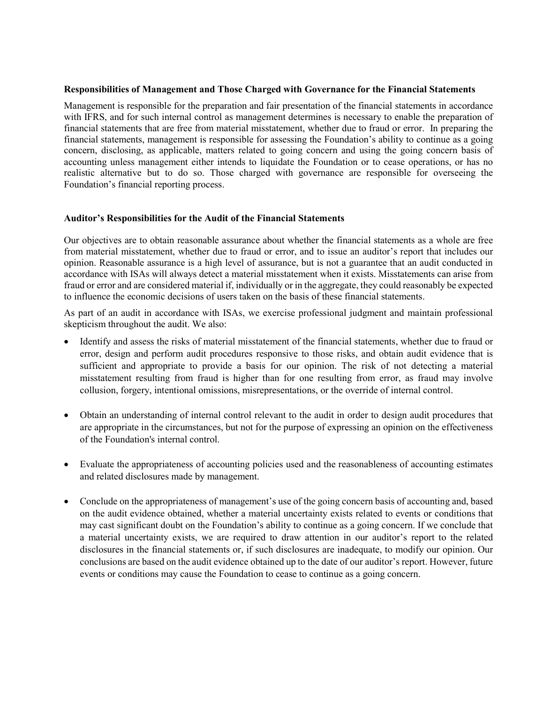#### Responsibilities of Management and Those Charged with Governance for the Financial Statements

Management is responsible for the preparation and fair presentation of the financial statements in accordance with IFRS, and for such internal control as management determines is necessary to enable the preparation of financial statements that are free from material misstatement, whether due to fraud or error. In preparing the financial statements, management is responsible for assessing the Foundation's ability to continue as a going concern, disclosing, as applicable, matters related to going concern and using the going concern basis of accounting unless management either intends to liquidate the Foundation or to cease operations, or has no realistic alternative but to do so. Those charged with governance are responsible for overseeing the Foundation's financial reporting process.

### Auditor's Responsibilities for the Audit of the Financial Statements

Our objectives are to obtain reasonable assurance about whether the financial statements as a whole are free from material misstatement, whether due to fraud or error, and to issue an auditor's report that includes our opinion. Reasonable assurance is a high level of assurance, but is not a guarantee that an audit conducted in accordance with ISAs will always detect a material misstatement when it exists. Misstatements can arise from fraud or error and are considered material if, individually or in the aggregate, they could reasonably be expected to influence the economic decisions of users taken on the basis of these financial statements.

As part of an audit in accordance with ISAs, we exercise professional judgment and maintain professional skepticism throughout the audit. We also:

- Identify and assess the risks of material misstatement of the financial statements, whether due to fraud or error, design and perform audit procedures responsive to those risks, and obtain audit evidence that is sufficient and appropriate to provide a basis for our opinion. The risk of not detecting a material misstatement resulting from fraud is higher than for one resulting from error, as fraud may involve collusion, forgery, intentional omissions, misrepresentations, or the override of internal control.
- Obtain an understanding of internal control relevant to the audit in order to design audit procedures that are appropriate in the circumstances, but not for the purpose of expressing an opinion on the effectiveness of the Foundation's internal control.
- Evaluate the appropriateness of accounting policies used and the reasonableness of accounting estimates and related disclosures made by management.
- Conclude on the appropriateness of management's use of the going concern basis of accounting and, based on the audit evidence obtained, whether a material uncertainty exists related to events or conditions that may cast significant doubt on the Foundation's ability to continue as a going concern. If we conclude that a material uncertainty exists, we are required to draw attention in our auditor's report to the related disclosures in the financial statements or, if such disclosures are inadequate, to modify our opinion. Our conclusions are based on the audit evidence obtained up to the date of our auditor's report. However, future events or conditions may cause the Foundation to cease to continue as a going concern.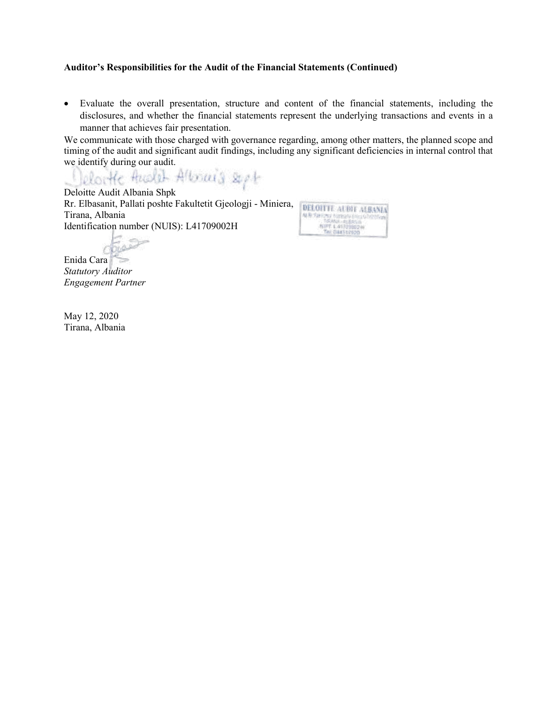#### Auditor's Responsibilities for the Audit of the Financial Statements (Continued)

 Evaluate the overall presentation, structure and content of the financial statements, including the disclosures, and whether the financial statements represent the underlying transactions and events in a manner that achieves fair presentation.

We communicate with those charged with governance regarding, among other matters, the planned scope and timing of the audit and significant audit findings, including any significant deficiencies in internal control that

we identify during our audit.<br>Clean He Hash Albouria &

Deloitte Audit Albania Shpk Rr. Elbasanit, Pallati poshte Fakultetit Gjeologji - Miniera, Tirana, Albania Identification number (NUIS): L41709002H

DELOITTE ALBIT ALBANIA 

**DIAL** 

Enida Cara Statutory Auditor Engagement Partner

May 12, 2020 Tirana, Albania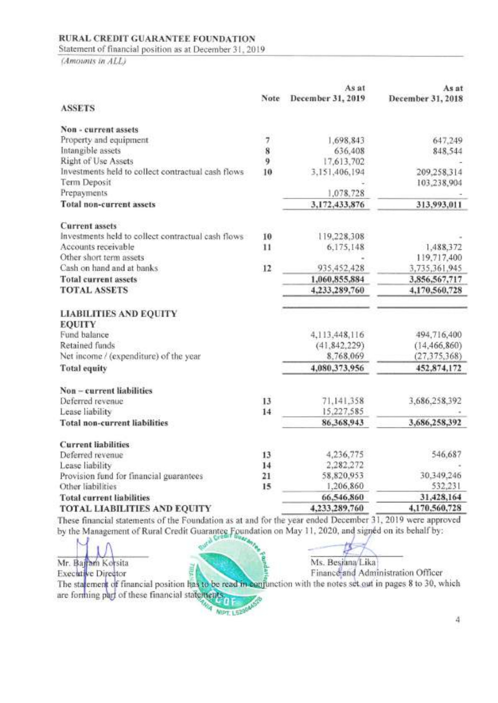Statement of financial position as at December 31, 2019

(Amounts in ALL)

|                                                    |      | As at             | As at             |
|----------------------------------------------------|------|-------------------|-------------------|
|                                                    | Note | December 31, 2019 | December 31, 2018 |
| <b>ASSETS</b>                                      |      |                   |                   |
| Non - current assets                               |      |                   |                   |
| Property and equipment                             | 7    | 1,698,843         | 647,249           |
| Intangible assets                                  | 8    | 636,408           | 848,544           |
| Right of Use Assets                                | 9    | 17,613,702        |                   |
| Investments held to collect contractual cash flows | 10   | 3,151,406,194     | 209,258,314       |
| Term Deposit                                       |      |                   | 103,238,904       |
| Prepayments                                        |      | 1,078,728         |                   |
| <b>Total non-current assets</b>                    |      | 3,172,433,876     | 313,993,011       |
| <b>Current</b> assets                              |      |                   |                   |
| Investments held to collect contractual cash flows | 10   | 119,228,308       |                   |
| Accounts receivable                                | 11   | 6,175,148         | 1,488,372         |
| Other short term assets                            |      |                   | 119,717,400       |
| Cash on hand and at banks                          | 12   | 935,452,428       | 3,735,361,945     |
| <b>Total current assets</b>                        |      | 1,060,855,884     | 3,856,567,717     |
| <b>TOTAL ASSETS</b>                                |      | 4,233,289,760     | 4,170,560,728     |
| <b>LIABILITIES AND EQUITY</b>                      |      |                   |                   |
| <b>EQUITY</b>                                      |      |                   |                   |
| Fund balance                                       |      | 4,113,448,116     | 494,716,400       |
| Retained funds                                     |      | (41, 842, 229)    | (14, 466, 860)    |
| Net income / (expenditure) of the year             |      | 8.768.069         | (27, 375, 368)    |
| <b>Total equity</b>                                |      | 4,080,373,956     | 452,874,172       |
| Non-current liabilities                            |      |                   |                   |
| Deferred revenue                                   | 13   | 71,141,358        | 3,686,258,392     |
| Lease liability                                    | 14   | 15,227,585        |                   |
| <b>Total non-current liabilities</b>               |      | 86,368,943        | 3,686,258,392     |
| <b>Current liabilities</b>                         |      |                   |                   |
| Deferred revenue                                   | 13   | 4,236,775         | 546,687           |
| Lease liability                                    | 14   | 2,282,272         |                   |
| Provision fund for financial guarantees            | 21   | 58,820,953        | 30.349.246        |
| Other liabilities                                  | 15   | 1,206,860         | 532,231           |
| <b>Total current liabilities</b>                   |      | 66,546,860        | 31,428,164        |
| <b>TOTAL LIABILITIES AND EQUITY</b>                |      | 4,233,289,760     | 4,170,560,728     |

1 nes e financial statements of the boundation as at and for the year by the Management of Rural Credit Guarantee Foundation on May 11, 2020, and signed on its behalf by:

Mr. Bajram Korsita **Executive Director** 

Ms. Besiana/Lika

Finance and Administration Officer

The statement of financial position has to be read in confunction with the notes set out in pages 8 to 30, which are forming part of these financial statements

**MPT. L5200A** 

xau

4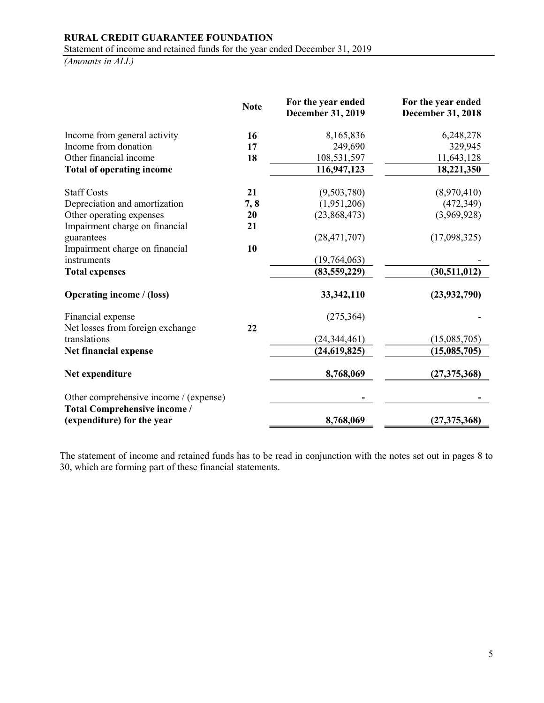# RURAL CREDIT GUARANTEE FOUNDATION Statement of income and retained funds for the year ended December 31, 2019

(Amounts in ALL)

|                                                  | <b>Note</b> | For the year ended<br>December 31, 2019 | For the year ended<br><b>December 31, 2018</b> |
|--------------------------------------------------|-------------|-----------------------------------------|------------------------------------------------|
| Income from general activity                     | 16          | 8,165,836                               | 6,248,278                                      |
| Income from donation                             | 17          | 249,690                                 | 329,945                                        |
| Other financial income                           | 18          | 108,531,597                             | 11,643,128                                     |
| <b>Total of operating income</b>                 |             | 116,947,123                             | 18,221,350                                     |
| <b>Staff Costs</b>                               | 21          | (9,503,780)                             | (8,970,410)                                    |
| Depreciation and amortization                    | 7,8         | (1,951,206)                             | (472, 349)                                     |
| Other operating expenses                         | 20          | (23,868,473)                            | (3,969,928)                                    |
| Impairment charge on financial                   | 21          |                                         |                                                |
| guarantees                                       |             | (28, 471, 707)                          | (17,098,325)                                   |
| Impairment charge on financial                   | 10          |                                         |                                                |
| instruments                                      |             | (19,764,063)                            |                                                |
| <b>Total expenses</b>                            |             | (83, 559, 229)                          | (30,511,012)                                   |
| <b>Operating income / (loss)</b>                 |             | 33, 342, 110                            | (23, 932, 790)                                 |
| Financial expense                                | 22          | (275, 364)                              |                                                |
| Net losses from foreign exchange<br>translations |             | (24, 344, 461)                          | (15,085,705)                                   |
| Net financial expense                            |             | (24, 619, 825)                          | (15,085,705)                                   |
|                                                  |             |                                         |                                                |
| Net expenditure                                  |             | 8,768,069                               | (27, 375, 368)                                 |
| Other comprehensive income / (expense)           |             |                                         |                                                |
| <b>Total Comprehensive income /</b>              |             |                                         |                                                |
| (expenditure) for the year                       |             | 8,768,069                               | (27, 375, 368)                                 |

The statement of income and retained funds has to be read in conjunction with the notes set out in pages 8 to 30, which are forming part of these financial statements.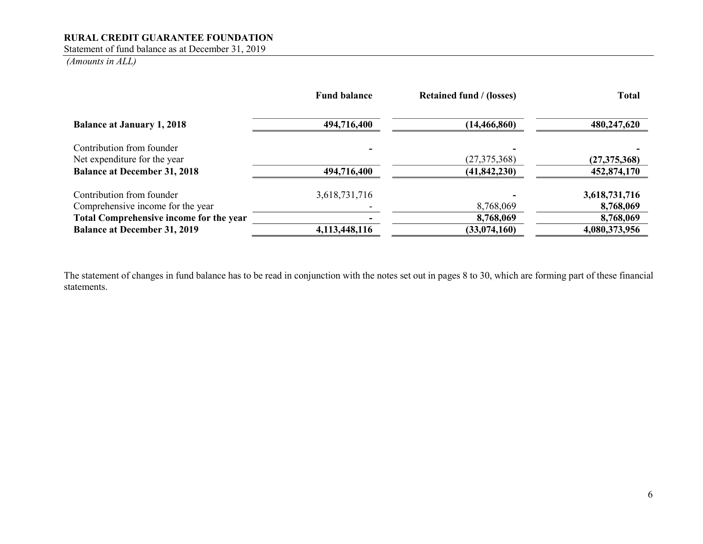Statement of fund balance as at December 31, 2019

(Amounts in ALL)

|                                                | <b>Fund balance</b> | <b>Retained fund / (losses)</b> | <b>Total</b>   |
|------------------------------------------------|---------------------|---------------------------------|----------------|
| <b>Balance at January 1, 2018</b>              | 494,716,400         | (14, 466, 860)                  | 480,247,620    |
| Contribution from founder                      |                     |                                 |                |
| Net expenditure for the year                   |                     | (27, 375, 368)                  | (27, 375, 368) |
| <b>Balance at December 31, 2018</b>            | 494,716,400         | (41, 842, 230)                  | 452,874,170    |
| Contribution from founder                      | 3,618,731,716       |                                 | 3,618,731,716  |
| Comprehensive income for the year              |                     | 8,768,069                       | 8,768,069      |
| <b>Total Comprehensive income for the year</b> |                     | 8,768,069                       | 8,768,069      |
| <b>Balance at December 31, 2019</b>            | 4,113,448,116       | (33,074,160)                    | 4,080,373,956  |

The statement of changes in fund balance has to be read in conjunction with the notes set out in pages 8 to 30, which are forming part of these financial statements.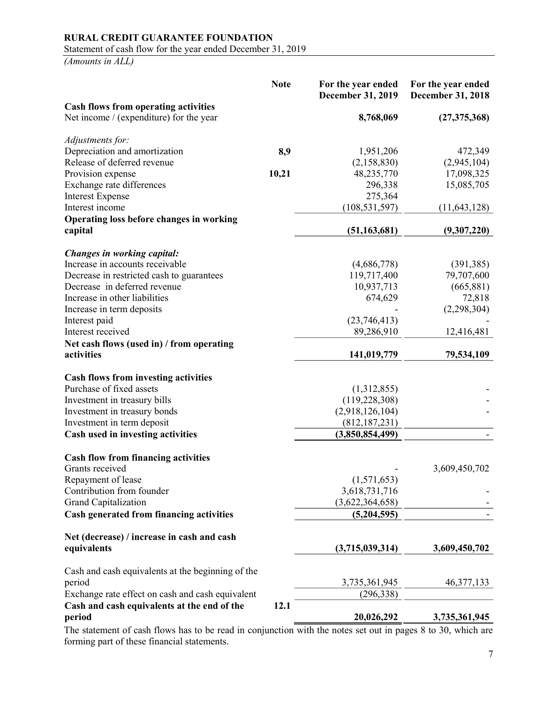Statement of cash flow for the year ended December 31, 2019

(Amounts in ALL)

|                                                                                        | <b>Note</b> | For the year ended<br>December 31, 2019 | For the year ended<br><b>December 31, 2018</b> |
|----------------------------------------------------------------------------------------|-------------|-----------------------------------------|------------------------------------------------|
| <b>Cash flows from operating activities</b><br>Net income / (expenditure) for the year |             | 8,768,069                               |                                                |
|                                                                                        |             |                                         | (27, 375, 368)                                 |
| Adjustments for:                                                                       |             |                                         |                                                |
| Depreciation and amortization                                                          | 8,9         | 1,951,206                               | 472,349                                        |
| Release of deferred revenue                                                            |             | (2,158,830)                             | (2,945,104)                                    |
| Provision expense                                                                      | 10,21       | 48,235,770                              | 17,098,325                                     |
| Exchange rate differences                                                              |             | 296,338                                 | 15,085,705                                     |
| <b>Interest Expense</b>                                                                |             | 275,364                                 |                                                |
| Interest income                                                                        |             | (108, 531, 597)                         | (11, 643, 128)                                 |
| Operating loss before changes in working                                               |             |                                         |                                                |
| capital                                                                                |             | (51, 163, 681)                          | (9,307,220)                                    |
| Changes in working capital:                                                            |             |                                         |                                                |
| Increase in accounts receivable                                                        |             | (4,686,778)                             | (391, 385)                                     |
| Decrease in restricted cash to guarantees                                              |             | 119,717,400                             | 79,707,600                                     |
| Decrease in deferred revenue                                                           |             | 10,937,713                              | (665, 881)                                     |
| Increase in other liabilities                                                          |             | 674,629                                 | 72,818                                         |
| Increase in term deposits                                                              |             |                                         | (2,298,304)                                    |
| Interest paid                                                                          |             | (23,746,413)                            |                                                |
| Interest received                                                                      |             | 89,286,910                              | 12,416,481                                     |
| Net cash flows (used in) / from operating                                              |             |                                         |                                                |
| activities                                                                             |             | 141,019,779                             | 79,534,109                                     |
|                                                                                        |             |                                         |                                                |
| <b>Cash flows from investing activities</b><br>Purchase of fixed assets                |             | (1,312,855)                             |                                                |
| Investment in treasury bills                                                           |             | (119, 228, 308)                         |                                                |
| Investment in treasury bonds                                                           |             | (2,918,126,104)                         |                                                |
| Investment in term deposit                                                             |             | (812, 187, 231)                         |                                                |
| Cash used in investing activities                                                      |             | (3,850,854,499)                         |                                                |
|                                                                                        |             |                                         |                                                |
| <b>Cash flow from financing activities</b>                                             |             |                                         |                                                |
| Grants received                                                                        |             |                                         | 3,609,450,702                                  |
| Repayment of lease                                                                     |             | (1,571,653)                             |                                                |
| Contribution from founder                                                              |             | 3,618,731,716                           |                                                |
| Grand Capitalization                                                                   |             | (3,622,364,658)                         |                                                |
| <b>Cash generated from financing activities</b>                                        |             | (5,204,595)                             |                                                |
| Net (decrease) / increase in cash and cash                                             |             |                                         |                                                |
| equivalents                                                                            |             | (3,715,039,314)                         | 3,609,450,702                                  |
| Cash and cash equivalents at the beginning of the                                      |             |                                         |                                                |
| period                                                                                 |             | 3,735,361,945                           | 46, 377, 133                                   |
| Exchange rate effect on cash and cash equivalent                                       |             | (296, 338)                              |                                                |
| Cash and cash equivalents at the end of the                                            | 12.1        |                                         |                                                |
| period                                                                                 |             | 20,026,292                              | 3,735,361,945                                  |

The statement of cash flows has to be read in conjunction with the notes set out in pages 8 to 30, which are forming part of these financial statements.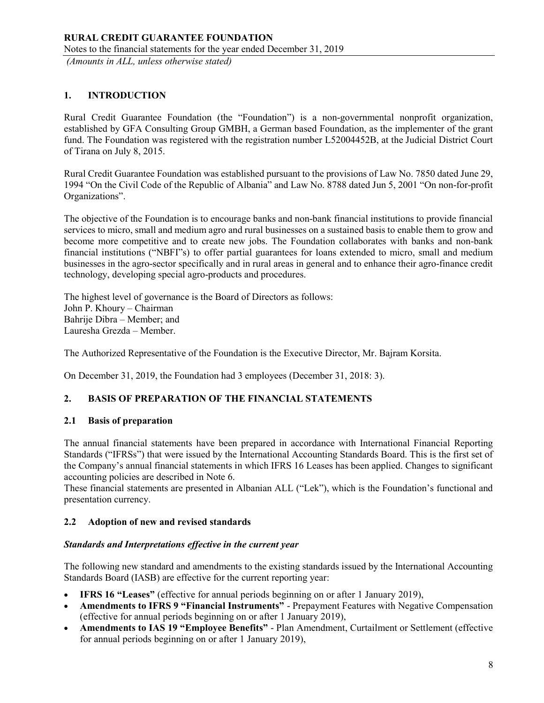# 1. INTRODUCTION

Rural Credit Guarantee Foundation (the "Foundation") is a non-governmental nonprofit organization, established by GFA Consulting Group GMBH, a German based Foundation, as the implementer of the grant fund. The Foundation was registered with the registration number L52004452B, at the Judicial District Court of Tirana on July 8, 2015.

Rural Credit Guarantee Foundation was established pursuant to the provisions of Law No. 7850 dated June 29, 1994 "On the Civil Code of the Republic of Albania" and Law No. 8788 dated Jun 5, 2001 "On non-for-profit Organizations".

The objective of the Foundation is to encourage banks and non-bank financial institutions to provide financial services to micro, small and medium agro and rural businesses on a sustained basis to enable them to grow and become more competitive and to create new jobs. The Foundation collaborates with banks and non-bank financial institutions ("NBFI"s) to offer partial guarantees for loans extended to micro, small and medium businesses in the agro-sector specifically and in rural areas in general and to enhance their agro-finance credit technology, developing special agro-products and procedures.

The highest level of governance is the Board of Directors as follows: John P. Khoury – Chairman Bahrije Dibra – Member; and Lauresha Grezda – Member.

The Authorized Representative of the Foundation is the Executive Director, Mr. Bajram Korsita.

On December 31, 2019, the Foundation had 3 employees (December 31, 2018: 3).

## 2. BASIS OF PREPARATION OF THE FINANCIAL STATEMENTS

### 2.1 Basis of preparation

The annual financial statements have been prepared in accordance with International Financial Reporting Standards ("IFRSs") that were issued by the International Accounting Standards Board. This is the first set of the Company's annual financial statements in which IFRS 16 Leases has been applied. Changes to significant accounting policies are described in Note 6.

These financial statements are presented in Albanian ALL ("Lek"), which is the Foundation's functional and presentation currency.

## 2.2 Adoption of new and revised standards

### Standards and Interpretations effective in the current year

The following new standard and amendments to the existing standards issued by the International Accounting Standards Board (IASB) are effective for the current reporting year:

- IFRS 16 "Leases" (effective for annual periods beginning on or after 1 January 2019),
- Amendments to IFRS 9 "Financial Instruments" Prepayment Features with Negative Compensation (effective for annual periods beginning on or after 1 January 2019),
- Amendments to IAS 19 "Employee Benefits" Plan Amendment, Curtailment or Settlement (effective for annual periods beginning on or after 1 January 2019),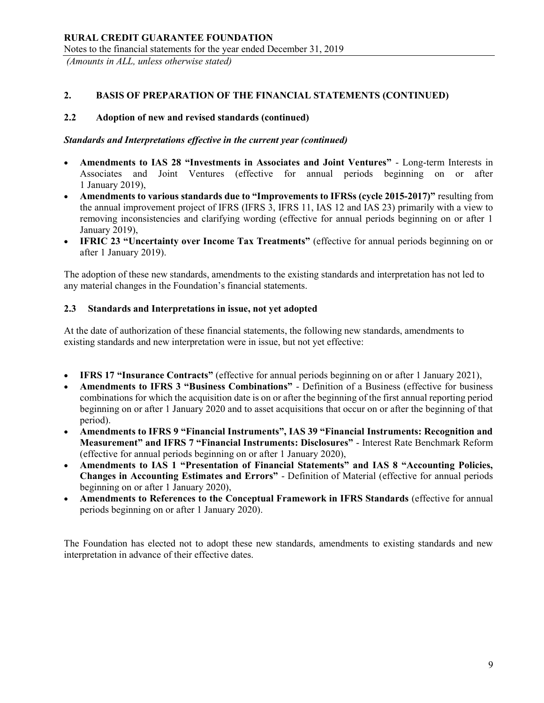## 2. BASIS OF PREPARATION OF THE FINANCIAL STATEMENTS (CONTINUED)

## 2.2 Adoption of new and revised standards (continued)

### Standards and Interpretations effective in the current year (continued)

- Amendments to IAS 28 "Investments in Associates and Joint Ventures" Long-term Interests in Associates and Joint Ventures (effective for annual periods beginning on or after 1 January 2019),
- Amendments to various standards due to "Improvements to IFRSs (cycle 2015-2017)" resulting from the annual improvement project of IFRS (IFRS 3, IFRS 11, IAS 12 and IAS 23) primarily with a view to removing inconsistencies and clarifying wording (effective for annual periods beginning on or after 1 January 2019),
- IFRIC 23 "Uncertainty over Income Tax Treatments" (effective for annual periods beginning on or after 1 January 2019).

The adoption of these new standards, amendments to the existing standards and interpretation has not led to any material changes in the Foundation's financial statements.

## 2.3 Standards and Interpretations in issue, not yet adopted

At the date of authorization of these financial statements, the following new standards, amendments to existing standards and new interpretation were in issue, but not yet effective:

- IFRS 17 "Insurance Contracts" (effective for annual periods beginning on or after 1 January 2021),
- Amendments to IFRS 3 "Business Combinations" Definition of a Business (effective for business combinations for which the acquisition date is on or after the beginning of the first annual reporting period beginning on or after 1 January 2020 and to asset acquisitions that occur on or after the beginning of that period).
- Amendments to IFRS 9 "Financial Instruments", IAS 39 "Financial Instruments: Recognition and Measurement" and IFRS 7 "Financial Instruments: Disclosures" - Interest Rate Benchmark Reform (effective for annual periods beginning on or after 1 January 2020),
- Amendments to IAS 1 "Presentation of Financial Statements" and IAS 8 "Accounting Policies, Changes in Accounting Estimates and Errors" - Definition of Material (effective for annual periods beginning on or after 1 January 2020),
- Amendments to References to the Conceptual Framework in IFRS Standards (effective for annual periods beginning on or after 1 January 2020).

The Foundation has elected not to adopt these new standards, amendments to existing standards and new interpretation in advance of their effective dates.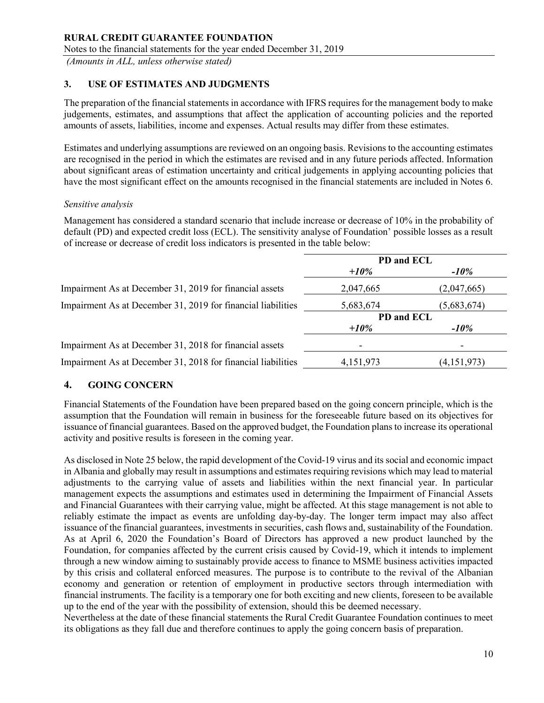# 3. USE OF ESTIMATES AND JUDGMENTS

The preparation of the financial statements in accordance with IFRS requires for the management body to make judgements, estimates, and assumptions that affect the application of accounting policies and the reported amounts of assets, liabilities, income and expenses. Actual results may differ from these estimates.

Estimates and underlying assumptions are reviewed on an ongoing basis. Revisions to the accounting estimates are recognised in the period in which the estimates are revised and in any future periods affected. Information about significant areas of estimation uncertainty and critical judgements in applying accounting policies that have the most significant effect on the amounts recognised in the financial statements are included in Notes 6.

### Sensitive analysis

Management has considered a standard scenario that include increase or decrease of 10% in the probability of default (PD) and expected credit loss (ECL). The sensitivity analyse of Foundation' possible losses as a result of increase or decrease of credit loss indicators is presented in the table below:

|                                                              | PD and ECL |             |
|--------------------------------------------------------------|------------|-------------|
|                                                              | $+10\%$    | $-10\%$     |
| Impairment As at December 31, 2019 for financial assets      | 2,047,665  | (2,047,665) |
| Impairment As at December 31, 2019 for financial liabilities | 5,683,674  | (5,683,674) |
|                                                              | PD and ECL |             |
|                                                              | $+10\%$    | $-10\%$     |
| Impairment As at December 31, 2018 for financial assets      |            |             |
| Impairment As at December 31, 2018 for financial liabilities | 4,151,973  | (4,151,973) |

## 4. GOING CONCERN

Financial Statements of the Foundation have been prepared based on the going concern principle, which is the assumption that the Foundation will remain in business for the foreseeable future based on its objectives for issuance of financial guarantees. Based on the approved budget, the Foundation plans to increase its operational activity and positive results is foreseen in the coming year.

As disclosed in Note 25 below, the rapid development of the Covid-19 virus and its social and economic impact in Albania and globally may result in assumptions and estimates requiring revisions which may lead to material adjustments to the carrying value of assets and liabilities within the next financial year. In particular management expects the assumptions and estimates used in determining the Impairment of Financial Assets and Financial Guarantees with their carrying value, might be affected. At this stage management is not able to reliably estimate the impact as events are unfolding day-by-day. The longer term impact may also affect issuance of the financial guarantees, investments in securities, cash flows and, sustainability of the Foundation. As at April 6, 2020 the Foundation's Board of Directors has approved a new product launched by the Foundation, for companies affected by the current crisis caused by Covid-19, which it intends to implement through a new window aiming to sustainably provide access to finance to MSME business activities impacted by this crisis and collateral enforced measures. The purpose is to contribute to the revival of the Albanian economy and generation or retention of employment in productive sectors through intermediation with financial instruments. The facility is a temporary one for both exciting and new clients, foreseen to be available up to the end of the year with the possibility of extension, should this be deemed necessary.

Nevertheless at the date of these financial statements the Rural Credit Guarantee Foundation continues to meet its obligations as they fall due and therefore continues to apply the going concern basis of preparation.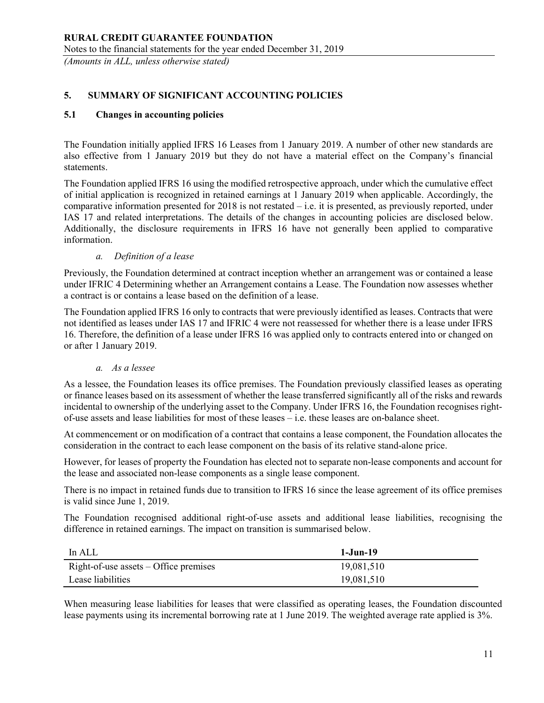# RURAL CREDIT GUARANTEE FOUNDATION Notes to the financial statements for the year ended December 31, 2019

(Amounts in ALL, unless otherwise stated)

# 5. SUMMARY OF SIGNIFICANT ACCOUNTING POLICIES

## 5.1 Changes in accounting policies

The Foundation initially applied IFRS 16 Leases from 1 January 2019. A number of other new standards are also effective from 1 January 2019 but they do not have a material effect on the Company's financial statements.

The Foundation applied IFRS 16 using the modified retrospective approach, under which the cumulative effect of initial application is recognized in retained earnings at 1 January 2019 when applicable. Accordingly, the comparative information presented for 2018 is not restated – i.e. it is presented, as previously reported, under IAS 17 and related interpretations. The details of the changes in accounting policies are disclosed below. Additionally, the disclosure requirements in IFRS 16 have not generally been applied to comparative information.

### a. Definition of a lease

Previously, the Foundation determined at contract inception whether an arrangement was or contained a lease under IFRIC 4 Determining whether an Arrangement contains a Lease. The Foundation now assesses whether a contract is or contains a lease based on the definition of a lease.

The Foundation applied IFRS 16 only to contracts that were previously identified as leases. Contracts that were not identified as leases under IAS 17 and IFRIC 4 were not reassessed for whether there is a lease under IFRS 16. Therefore, the definition of a lease under IFRS 16 was applied only to contracts entered into or changed on or after 1 January 2019.

### a. As a lessee

As a lessee, the Foundation leases its office premises. The Foundation previously classified leases as operating or finance leases based on its assessment of whether the lease transferred significantly all of the risks and rewards incidental to ownership of the underlying asset to the Company. Under IFRS 16, the Foundation recognises rightof-use assets and lease liabilities for most of these leases – i.e. these leases are on-balance sheet.

At commencement or on modification of a contract that contains a lease component, the Foundation allocates the consideration in the contract to each lease component on the basis of its relative stand-alone price.

However, for leases of property the Foundation has elected not to separate non-lease components and account for the lease and associated non-lease components as a single lease component.

There is no impact in retained funds due to transition to IFRS 16 since the lease agreement of its office premises is valid since June 1, 2019.

The Foundation recognised additional right-of-use assets and additional lease liabilities, recognising the difference in retained earnings. The impact on transition is summarised below.

| In ALL                                  | 1-Jun-19   |
|-----------------------------------------|------------|
| Right-of-use assets $-$ Office premises | 19,081,510 |
| Lease liabilities                       | 19,081,510 |

When measuring lease liabilities for leases that were classified as operating leases, the Foundation discounted lease payments using its incremental borrowing rate at 1 June 2019. The weighted average rate applied is 3%.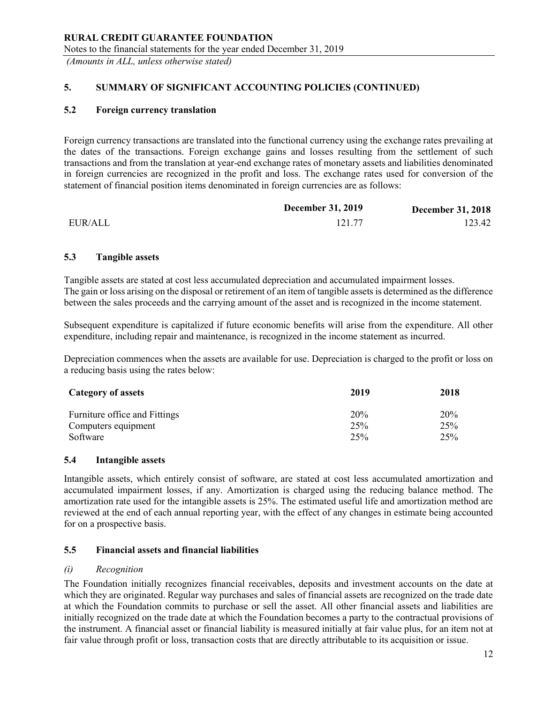# 5. SUMMARY OF SIGNIFICANT ACCOUNTING POLICIES (CONTINUED)

## 5.2 Foreign currency translation

Foreign currency transactions are translated into the functional currency using the exchange rates prevailing at the dates of the transactions. Foreign exchange gains and losses resulting from the settlement of such transactions and from the translation at year-end exchange rates of monetary assets and liabilities denominated in foreign currencies are recognized in the profit and loss. The exchange rates used for conversion of the statement of financial position items denominated in foreign currencies are as follows:

|         | <b>December 31, 2019</b> | <b>December 31, 2018</b> |
|---------|--------------------------|--------------------------|
| EUR/ALL | 121.77                   | 123.42                   |

## 5.3 Tangible assets

Tangible assets are stated at cost less accumulated depreciation and accumulated impairment losses. The gain or loss arising on the disposal or retirement of an item of tangible assets is determined as the difference between the sales proceeds and the carrying amount of the asset and is recognized in the income statement.

Subsequent expenditure is capitalized if future economic benefits will arise from the expenditure. All other expenditure, including repair and maintenance, is recognized in the income statement as incurred.

Depreciation commences when the assets are available for use. Depreciation is charged to the profit or loss on a reducing basis using the rates below:

| Category of assets            | 2019 | 2018 |
|-------------------------------|------|------|
| Furniture office and Fittings | 20%  | 20%  |
| Computers equipment           | 25%  | 25%  |
| Software                      | 25%  | 25%  |

### 5.4 Intangible assets

Intangible assets, which entirely consist of software, are stated at cost less accumulated amortization and accumulated impairment losses, if any. Amortization is charged using the reducing balance method. The amortization rate used for the intangible assets is 25%. The estimated useful life and amortization method are reviewed at the end of each annual reporting year, with the effect of any changes in estimate being accounted for on a prospective basis.

### 5.5 Financial assets and financial liabilities

### (i) Recognition

The Foundation initially recognizes financial receivables, deposits and investment accounts on the date at which they are originated. Regular way purchases and sales of financial assets are recognized on the trade date at which the Foundation commits to purchase or sell the asset. All other financial assets and liabilities are initially recognized on the trade date at which the Foundation becomes a party to the contractual provisions of the instrument. A financial asset or financial liability is measured initially at fair value plus, for an item not at fair value through profit or loss, transaction costs that are directly attributable to its acquisition or issue.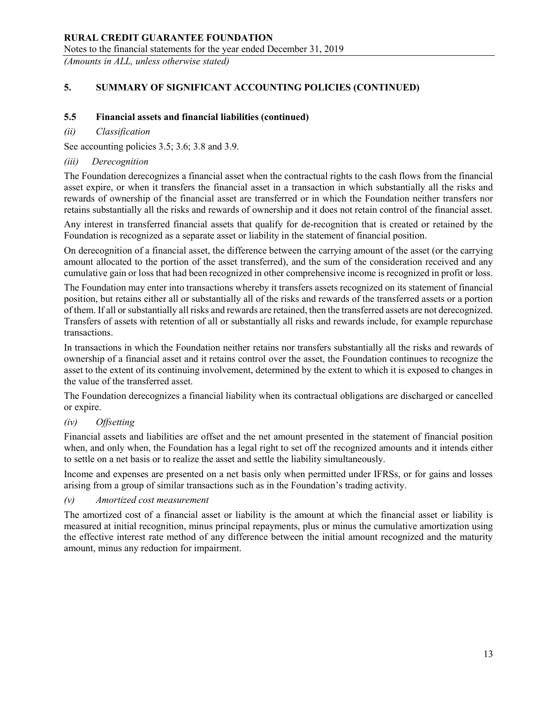## RURAL CREDIT GUARANTEE FOUNDATION Notes to the financial statements for the year ended December 31, 2019

(Amounts in ALL, unless otherwise stated)

# 5. SUMMARY OF SIGNIFICANT ACCOUNTING POLICIES (CONTINUED)

## 5.5 Financial assets and financial liabilities (continued)

## (ii) Classification

See accounting policies 3.5; 3.6; 3.8 and 3.9.

## (iii) Derecognition

The Foundation derecognizes a financial asset when the contractual rights to the cash flows from the financial asset expire, or when it transfers the financial asset in a transaction in which substantially all the risks and rewards of ownership of the financial asset are transferred or in which the Foundation neither transfers nor retains substantially all the risks and rewards of ownership and it does not retain control of the financial asset.

Any interest in transferred financial assets that qualify for de-recognition that is created or retained by the Foundation is recognized as a separate asset or liability in the statement of financial position.

On derecognition of a financial asset, the difference between the carrying amount of the asset (or the carrying amount allocated to the portion of the asset transferred), and the sum of the consideration received and any cumulative gain or loss that had been recognized in other comprehensive income is recognized in profit or loss.

The Foundation may enter into transactions whereby it transfers assets recognized on its statement of financial position, but retains either all or substantially all of the risks and rewards of the transferred assets or a portion of them. If all or substantially all risks and rewards are retained, then the transferred assets are not derecognized. Transfers of assets with retention of all or substantially all risks and rewards include, for example repurchase transactions.

In transactions in which the Foundation neither retains nor transfers substantially all the risks and rewards of ownership of a financial asset and it retains control over the asset, the Foundation continues to recognize the asset to the extent of its continuing involvement, determined by the extent to which it is exposed to changes in the value of the transferred asset.

The Foundation derecognizes a financial liability when its contractual obligations are discharged or cancelled or expire.

## (iv) Offsetting

Financial assets and liabilities are offset and the net amount presented in the statement of financial position when, and only when, the Foundation has a legal right to set off the recognized amounts and it intends either to settle on a net basis or to realize the asset and settle the liability simultaneously.

Income and expenses are presented on a net basis only when permitted under IFRSs, or for gains and losses arising from a group of similar transactions such as in the Foundation's trading activity.

### (v) Amortized cost measurement

The amortized cost of a financial asset or liability is the amount at which the financial asset or liability is measured at initial recognition, minus principal repayments, plus or minus the cumulative amortization using the effective interest rate method of any difference between the initial amount recognized and the maturity amount, minus any reduction for impairment.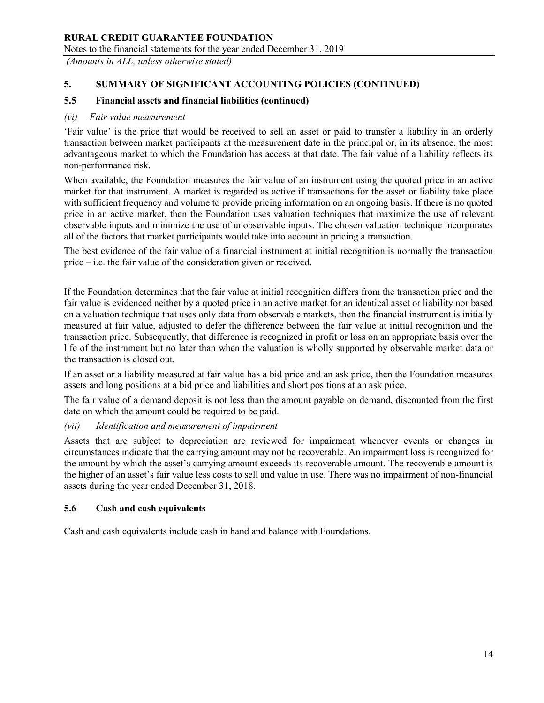Notes to the financial statements for the year ended December 31, 2019

(Amounts in ALL, unless otherwise stated)

# 5. SUMMARY OF SIGNIFICANT ACCOUNTING POLICIES (CONTINUED)

## 5.5 Financial assets and financial liabilities (continued)

### (vi) Fair value measurement

'Fair value' is the price that would be received to sell an asset or paid to transfer a liability in an orderly transaction between market participants at the measurement date in the principal or, in its absence, the most advantageous market to which the Foundation has access at that date. The fair value of a liability reflects its non-performance risk.

When available, the Foundation measures the fair value of an instrument using the quoted price in an active market for that instrument. A market is regarded as active if transactions for the asset or liability take place with sufficient frequency and volume to provide pricing information on an ongoing basis. If there is no quoted price in an active market, then the Foundation uses valuation techniques that maximize the use of relevant observable inputs and minimize the use of unobservable inputs. The chosen valuation technique incorporates all of the factors that market participants would take into account in pricing a transaction.

The best evidence of the fair value of a financial instrument at initial recognition is normally the transaction price – i.e. the fair value of the consideration given or received.

If the Foundation determines that the fair value at initial recognition differs from the transaction price and the fair value is evidenced neither by a quoted price in an active market for an identical asset or liability nor based on a valuation technique that uses only data from observable markets, then the financial instrument is initially measured at fair value, adjusted to defer the difference between the fair value at initial recognition and the transaction price. Subsequently, that difference is recognized in profit or loss on an appropriate basis over the life of the instrument but no later than when the valuation is wholly supported by observable market data or the transaction is closed out.

If an asset or a liability measured at fair value has a bid price and an ask price, then the Foundation measures assets and long positions at a bid price and liabilities and short positions at an ask price.

The fair value of a demand deposit is not less than the amount payable on demand, discounted from the first date on which the amount could be required to be paid.

### (vii) Identification and measurement of impairment

Assets that are subject to depreciation are reviewed for impairment whenever events or changes in circumstances indicate that the carrying amount may not be recoverable. An impairment loss is recognized for the amount by which the asset's carrying amount exceeds its recoverable amount. The recoverable amount is the higher of an asset's fair value less costs to sell and value in use. There was no impairment of non-financial assets during the year ended December 31, 2018.

### 5.6 Cash and cash equivalents

Cash and cash equivalents include cash in hand and balance with Foundations.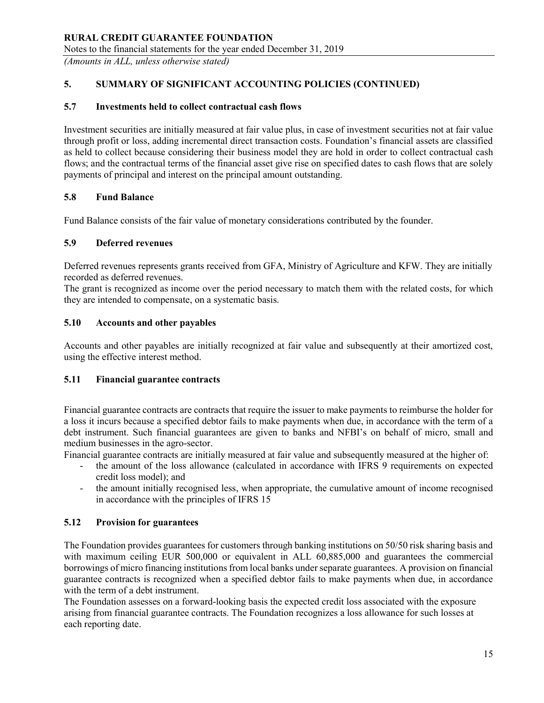## RURAL CREDIT GUARANTEE FOUNDATION Notes to the financial statements for the year ended December 31, 2019

(Amounts in ALL, unless otherwise stated)

# 5. SUMMARY OF SIGNIFICANT ACCOUNTING POLICIES (CONTINUED)

## 5.7 Investments held to collect contractual cash flows

Investment securities are initially measured at fair value plus, in case of investment securities not at fair value through profit or loss, adding incremental direct transaction costs. Foundation's financial assets are classified as held to collect because considering their business model they are hold in order to collect contractual cash flows; and the contractual terms of the financial asset give rise on specified dates to cash flows that are solely payments of principal and interest on the principal amount outstanding.

## 5.8 Fund Balance

Fund Balance consists of the fair value of monetary considerations contributed by the founder.

## 5.9 Deferred revenues

Deferred revenues represents grants received from GFA, Ministry of Agriculture and KFW. They are initially recorded as deferred revenues.

The grant is recognized as income over the period necessary to match them with the related costs, for which they are intended to compensate, on a systematic basis.

## 5.10 Accounts and other payables

Accounts and other payables are initially recognized at fair value and subsequently at their amortized cost, using the effective interest method.

### 5.11 Financial guarantee contracts

Financial guarantee contracts are contracts that require the issuer to make payments to reimburse the holder for a loss it incurs because a specified debtor fails to make payments when due, in accordance with the term of a debt instrument. Such financial guarantees are given to banks and NFBI's on behalf of micro, small and medium businesses in the agro-sector.

Financial guarantee contracts are initially measured at fair value and subsequently measured at the higher of:

- the amount of the loss allowance (calculated in accordance with IFRS 9 requirements on expected credit loss model); and
- the amount initially recognised less, when appropriate, the cumulative amount of income recognised in accordance with the principles of IFRS 15

## 5.12 Provision for guarantees

The Foundation provides guarantees for customers through banking institutions on 50/50 risk sharing basis and with maximum ceiling EUR 500,000 or equivalent in ALL 60,885,000 and guarantees the commercial borrowings of micro financing institutions from local banks under separate guarantees. A provision on financial guarantee contracts is recognized when a specified debtor fails to make payments when due, in accordance with the term of a debt instrument.

The Foundation assesses on a forward-looking basis the expected credit loss associated with the exposure arising from financial guarantee contracts. The Foundation recognizes a loss allowance for such losses at each reporting date.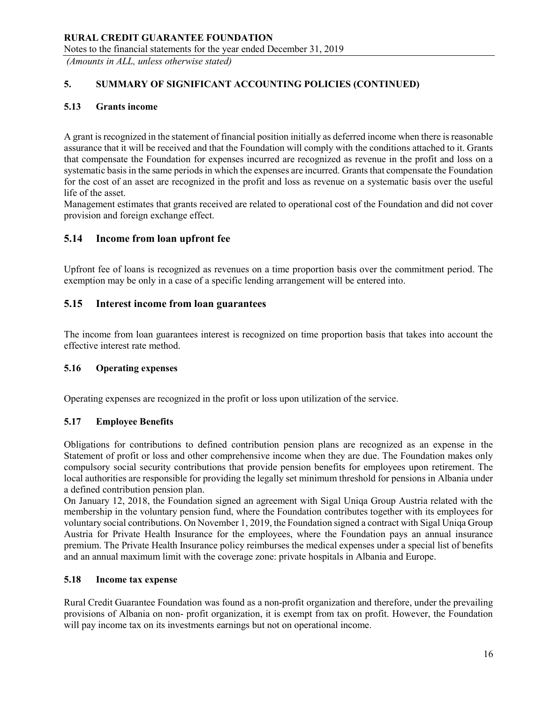## RURAL CREDIT GUARANTEE FOUNDATION Notes to the financial statements for the year ended December 31, 2019

(Amounts in ALL, unless otherwise stated)

# 5. SUMMARY OF SIGNIFICANT ACCOUNTING POLICIES (CONTINUED)

## 5.13 Grants income

A grant is recognized in the statement of financial position initially as deferred income when there is reasonable assurance that it will be received and that the Foundation will comply with the conditions attached to it. Grants that compensate the Foundation for expenses incurred are recognized as revenue in the profit and loss on a systematic basis in the same periods in which the expenses are incurred. Grants that compensate the Foundation for the cost of an asset are recognized in the profit and loss as revenue on a systematic basis over the useful life of the asset.

Management estimates that grants received are related to operational cost of the Foundation and did not cover provision and foreign exchange effect.

# 5.14 Income from loan upfront fee

Upfront fee of loans is recognized as revenues on a time proportion basis over the commitment period. The exemption may be only in a case of a specific lending arrangement will be entered into.

## 5.15 Interest income from loan guarantees

The income from loan guarantees interest is recognized on time proportion basis that takes into account the effective interest rate method.

### 5.16 Operating expenses

Operating expenses are recognized in the profit or loss upon utilization of the service.

### 5.17 Employee Benefits

Obligations for contributions to defined contribution pension plans are recognized as an expense in the Statement of profit or loss and other comprehensive income when they are due. The Foundation makes only compulsory social security contributions that provide pension benefits for employees upon retirement. The local authorities are responsible for providing the legally set minimum threshold for pensions in Albania under a defined contribution pension plan.

On January 12, 2018, the Foundation signed an agreement with Sigal Uniqa Group Austria related with the membership in the voluntary pension fund, where the Foundation contributes together with its employees for voluntary social contributions. On November 1, 2019, the Foundation signed a contract with Sigal Uniqa Group Austria for Private Health Insurance for the employees, where the Foundation pays an annual insurance premium. The Private Health Insurance policy reimburses the medical expenses under a special list of benefits and an annual maximum limit with the coverage zone: private hospitals in Albania and Europe.

### 5.18 Income tax expense

Rural Credit Guarantee Foundation was found as a non-profit organization and therefore, under the prevailing provisions of Albania on non- profit organization, it is exempt from tax on profit. However, the Foundation will pay income tax on its investments earnings but not on operational income.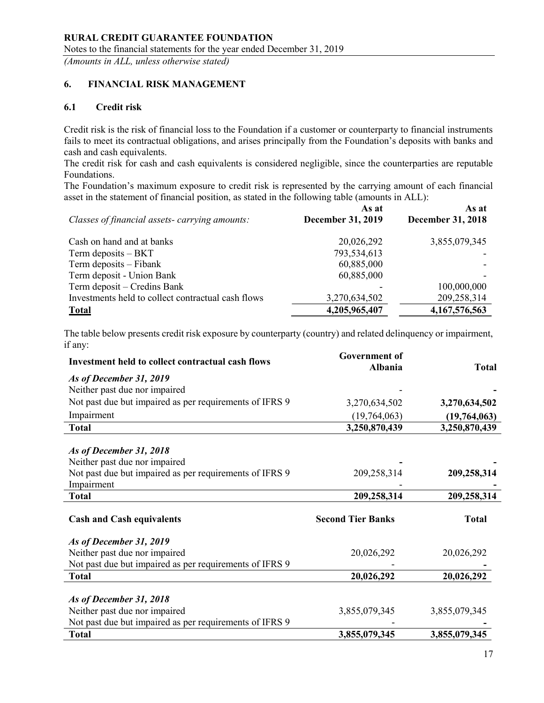# 6. FINANCIAL RISK MANAGEMENT

# 6.1 Credit risk

Credit risk is the risk of financial loss to the Foundation if a customer or counterparty to financial instruments fails to meet its contractual obligations, and arises principally from the Foundation's deposits with banks and cash and cash equivalents.

The credit risk for cash and cash equivalents is considered negligible, since the counterparties are reputable Foundations.

The Foundation's maximum exposure to credit risk is represented by the carrying amount of each financial asset in the statement of financial position, as stated in the following table (amounts in ALL):

| Classes of financial assets-carrying amounts:      | As at<br><b>December 31, 2019</b> | As at<br><b>December 31, 2018</b> |
|----------------------------------------------------|-----------------------------------|-----------------------------------|
| Cash on hand and at banks                          | 20,026,292                        | 3,855,079,345                     |
| Term deposits $- BKT$                              | 793,534,613                       |                                   |
| Term deposits – Fibank                             | 60,885,000                        |                                   |
| Term deposit - Union Bank                          | 60,885,000                        |                                   |
| Term deposit – Credins Bank                        |                                   | 100,000,000                       |
| Investments held to collect contractual cash flows | 3,270,634,502                     | 209,258,314                       |
| <b>Total</b>                                       | 4,205,965,407                     | 4, 167, 576, 563                  |

The table below presents credit risk exposure by counterparty (country) and related delinquency or impairment, if any:

| Investment held to collect contractual cash flows                     | <b>Government</b> of<br><b>Albania</b> | <b>Total</b>  |
|-----------------------------------------------------------------------|----------------------------------------|---------------|
| As of December 31, 2019                                               |                                        |               |
| Neither past due nor impaired                                         |                                        |               |
| Not past due but impaired as per requirements of IFRS 9               | 3,270,634,502                          | 3,270,634,502 |
| Impairment                                                            | (19,764,063)                           | (19,764,063)  |
| <b>Total</b>                                                          | 3,250,870,439                          | 3,250,870,439 |
|                                                                       |                                        |               |
| As of December 31, 2018                                               |                                        |               |
| Neither past due nor impaired                                         |                                        |               |
| Not past due but impaired as per requirements of IFRS 9<br>Impairment | 209,258,314                            | 209,258,314   |
| <b>Total</b>                                                          | 209,258,314                            | 209,258,314   |
|                                                                       |                                        |               |
| <b>Cash and Cash equivalents</b>                                      | <b>Second Tier Banks</b>               | <b>Total</b>  |
| As of December 31, 2019                                               |                                        |               |
| Neither past due nor impaired                                         | 20,026,292                             | 20,026,292    |
| Not past due but impaired as per requirements of IFRS 9               |                                        |               |
| <b>Total</b>                                                          | 20,026,292                             | 20,026,292    |
|                                                                       |                                        |               |
| As of December 31, 2018                                               |                                        |               |
| Neither past due nor impaired                                         | 3,855,079,345                          | 3,855,079,345 |
| Not past due but impaired as per requirements of IFRS 9               |                                        |               |
| <b>Total</b>                                                          | 3,855,079,345                          | 3,855,079,345 |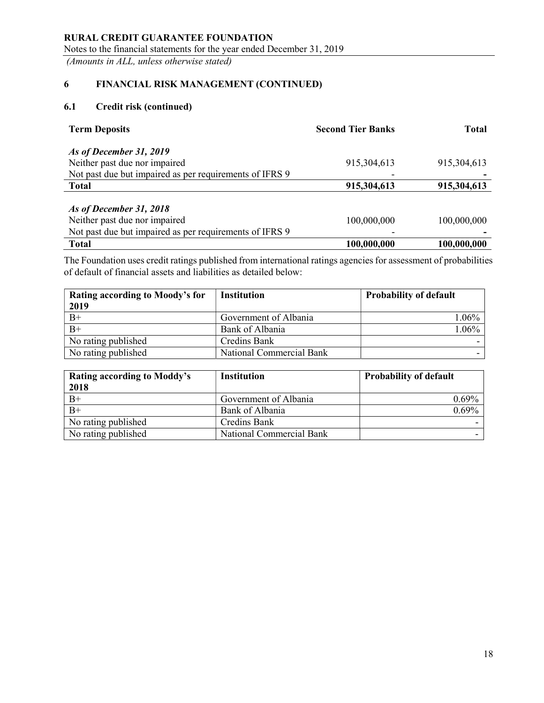Notes to the financial statements for the year ended December 31, 2019

(Amounts in ALL, unless otherwise stated)

# 6 FINANCIAL RISK MANAGEMENT (CONTINUED)

# 6.1 Credit risk (continued)

| <b>Term Deposits</b>                                    | <b>Second Tier Banks</b> | <b>Total</b> |
|---------------------------------------------------------|--------------------------|--------------|
| As of December 31, 2019                                 |                          |              |
| Neither past due nor impaired                           | 915,304,613              | 915,304,613  |
| Not past due but impaired as per requirements of IFRS 9 |                          |              |
| <b>Total</b>                                            | 915,304,613              | 915,304,613  |
| As of December 31, 2018                                 |                          |              |
| Neither past due nor impaired                           | 100,000,000              | 100,000,000  |
| Not past due but impaired as per requirements of IFRS 9 |                          |              |
| <b>Total</b>                                            | 100,000,000              | 100,000,000  |

The Foundation uses credit ratings published from international ratings agencies for assessment of probabilities of default of financial assets and liabilities as detailed below:

| Rating according to Moody's for<br>2019 | <b>Institution</b>       | <b>Probability of default</b> |
|-----------------------------------------|--------------------------|-------------------------------|
| $B+$                                    | Government of Albania    | $1.06\%$                      |
| $B+$                                    | Bank of Albania          | $1.06\%$                      |
| No rating published                     | Credins Bank             |                               |
| No rating published                     | National Commercial Bank |                               |

| Rating according to Moddy's<br>2018 | <b>Institution</b>       | <b>Probability of default</b> |
|-------------------------------------|--------------------------|-------------------------------|
| $B+$                                | Government of Albania    | $0.69\%$                      |
| $B+$                                | Bank of Albania          | 0.69%                         |
| No rating published                 | Credins Bank             |                               |
| No rating published                 | National Commercial Bank |                               |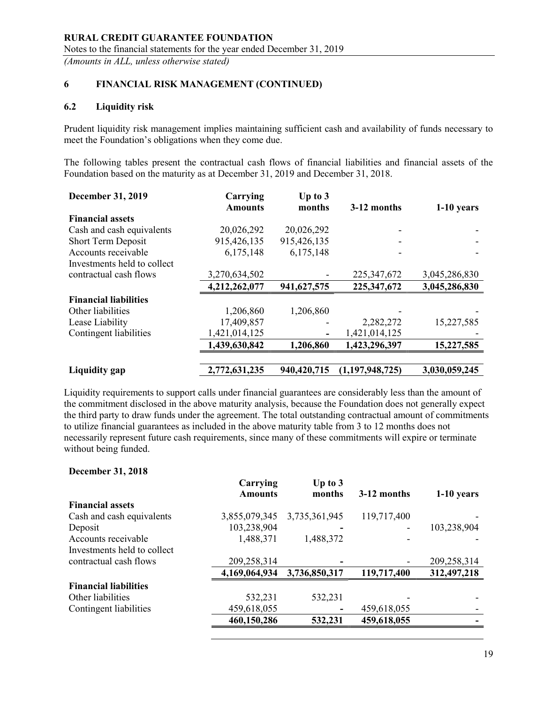# 6 FINANCIAL RISK MANAGEMENT (CONTINUED)

## 6.2 Liquidity risk

Prudent liquidity risk management implies maintaining sufficient cash and availability of funds necessary to meet the Foundation's obligations when they come due.

The following tables present the contractual cash flows of financial liabilities and financial assets of the Foundation based on the maturity as at December 31, 2019 and December 31, 2018.

| <b>December 31, 2019</b>     | Carrying<br><b>Amounts</b> | Up to $3$<br>months | 3-12 months        | $1-10$ years  |
|------------------------------|----------------------------|---------------------|--------------------|---------------|
| <b>Financial assets</b>      |                            |                     |                    |               |
| Cash and cash equivalents    | 20,026,292                 | 20,026,292          |                    |               |
| Short Term Deposit           | 915,426,135                | 915,426,135         |                    |               |
| Accounts receivable          | 6,175,148                  | 6,175,148           |                    |               |
| Investments held to collect  |                            |                     |                    |               |
| contractual cash flows       | 3,270,634,502              |                     | 225, 347, 672      | 3,045,286,830 |
|                              | 4,212,262,077              | 941,627,575         | 225,347,672        | 3,045,286,830 |
| <b>Financial liabilities</b> |                            |                     |                    |               |
| Other liabilities            | 1,206,860                  | 1,206,860           |                    |               |
| Lease Liability              | 17,409,857                 |                     | 2,282,272          | 15,227,585    |
| Contingent liabilities       | 1,421,014,125              |                     | 1,421,014,125      |               |
|                              | 1,439,630,842              | 1,206,860           | 1,423,296,397      | 15,227,585    |
|                              |                            |                     |                    |               |
| Liquidity gap                | 2,772,631,235              | 940,420,715         | (1, 197, 948, 725) | 3,030,059,245 |

Liquidity requirements to support calls under financial guarantees are considerably less than the amount of the commitment disclosed in the above maturity analysis, because the Foundation does not generally expect the third party to draw funds under the agreement. The total outstanding contractual amount of commitments to utilize financial guarantees as included in the above maturity table from 3 to 12 months does not necessarily represent future cash requirements, since many of these commitments will expire or terminate without being funded.

### December 31, 2018

|                              | Carrying<br><b>Amounts</b> | Up to $3$<br>months | 3-12 months | $1-10$ years |
|------------------------------|----------------------------|---------------------|-------------|--------------|
| <b>Financial assets</b>      |                            |                     |             |              |
| Cash and cash equivalents    | 3,855,079,345              | 3,735,361,945       | 119,717,400 |              |
| Deposit                      | 103,238,904                |                     |             | 103,238,904  |
| Accounts receivable          | 1,488,371                  | 1,488,372           |             |              |
| Investments held to collect  |                            |                     |             |              |
| contractual cash flows       | 209,258,314                |                     |             | 209,258,314  |
|                              | 4,169,064,934              | 3,736,850,317       | 119,717,400 | 312,497,218  |
| <b>Financial liabilities</b> |                            |                     |             |              |
| Other liabilities            | 532,231                    | 532,231             |             |              |
| Contingent liabilities       | 459,618,055                |                     | 459,618,055 |              |
|                              | 460,150,286                | 532,231             | 459,618,055 |              |
|                              |                            |                     |             |              |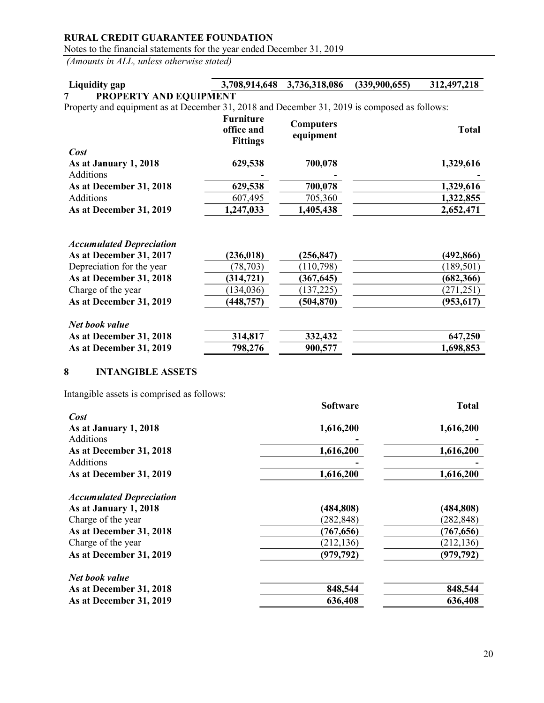Notes to the financial statements for the year ended December 31, 2019

(Amounts in ALL, unless otherwise stated)

#### Liquidity gap 3,708,914,648 3,736,318,086 (339,900,655) 312,497,218 7 PROPERTY AND EQUIPMENT Property and equipment as at December 31, 2018 and December 31, 2019 is composed as follows: Furniture **Computers**

|                         | office and<br><b>Fittings</b> | Computers<br>equipment | <b>Total</b> |
|-------------------------|-------------------------------|------------------------|--------------|
| Cost                    |                               |                        |              |
| As at January 1, 2018   | 629,538                       | 700,078                | 1,329,616    |
| Additions               | -                             |                        |              |
| As at December 31, 2018 | 629,538                       | 700,078                | 1,329,616    |
| <b>Additions</b>        | 607,495                       | 705,360                | 1,322,855    |
| As at December 31, 2019 | 1,247,033                     | 1,405,438              | 2,652,471    |

| <b>Accumulated Depreciation</b> |            |            |            |
|---------------------------------|------------|------------|------------|
| As at December 31, 2017         | (236, 018) | (256, 847) | (492, 866) |
| Depreciation for the year       | (78, 703)  | (110, 798) | (189, 501) |
| As at December 31, 2018         | (314, 721) | (367, 645) | (682, 366) |
| Charge of the year              | (134, 036) | (137, 225) | (271, 251) |
| As at December 31, 2019         | (448, 757) | (504, 870) | (953, 617) |
| Net book value                  |            |            |            |
| As at December 31, 2018         | 314,817    | 332,432    | 647,250    |
| As at December 31, 2019         | 798,276    | 900,577    | 1,698,853  |

## 8 INTANGIBLE ASSETS

Intangible assets is comprised as follows:

|                                 | <b>Software</b> | <b>Total</b> |
|---------------------------------|-----------------|--------------|
| Cost                            |                 |              |
| As at January 1, 2018           | 1,616,200       | 1,616,200    |
| Additions                       |                 |              |
| As at December 31, 2018         | 1,616,200       | 1,616,200    |
| Additions                       |                 |              |
| As at December 31, 2019         | 1,616,200       | 1,616,200    |
| <b>Accumulated Depreciation</b> |                 |              |
| As at January 1, 2018           | (484, 808)      | (484, 808)   |
| Charge of the year              | (282, 848)      | (282, 848)   |
| As at December 31, 2018         | (767, 656)      | (767, 656)   |
| Charge of the year              | (212, 136)      | (212, 136)   |
| As at December 31, 2019         | (979, 792)      | (979, 792)   |
| Net book value                  |                 |              |
| As at December 31, 2018         | 848,544         | 848,544      |
| As at December 31, 2019         | 636,408         | 636,408      |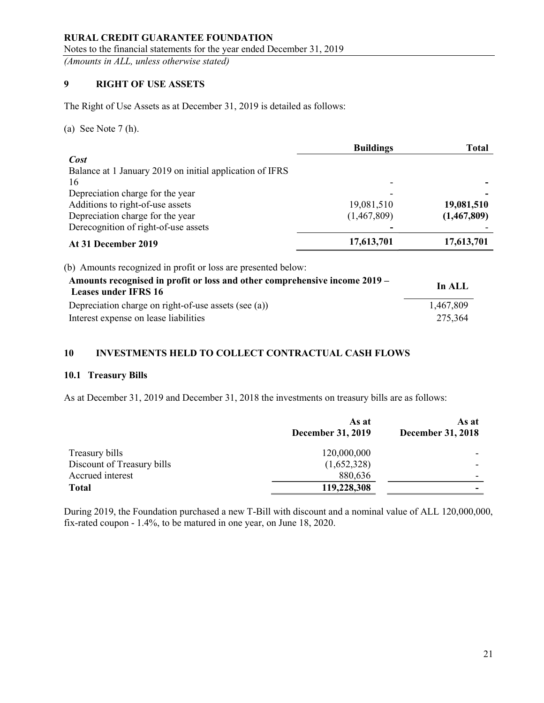Notes to the financial statements for the year ended December 31, 2019

(Amounts in ALL, unless otherwise stated)

# 9 RIGHT OF USE ASSETS

The Right of Use Assets as at December 31, 2019 is detailed as follows:

(a) See Note 7 (h).

|                                                                                                           | <b>Buildings</b> | <b>Total</b> |
|-----------------------------------------------------------------------------------------------------------|------------------|--------------|
| Cost                                                                                                      |                  |              |
| Balance at 1 January 2019 on initial application of IFRS                                                  |                  |              |
| 16                                                                                                        |                  |              |
| Depreciation charge for the year                                                                          |                  |              |
| Additions to right-of-use assets                                                                          | 19,081,510       | 19,081,510   |
| Depreciation charge for the year                                                                          | (1,467,809)      | (1,467,809)  |
| Derecognition of right-of-use assets                                                                      |                  |              |
| At 31 December 2019                                                                                       | 17,613,701       | 17,613,701   |
| (b) Amounts recognized in profit or loss are presented below:                                             |                  |              |
| Amounts recognised in profit or loss and other comprehensive income 2019 -<br><b>Leases under IFRS 16</b> |                  | In ALL       |
| Depreciation charge on right-of-use assets (see (a))                                                      |                  | 1,467,809    |
| Interest expense on lease liabilities                                                                     |                  | 275,364      |

# 10 INVESTMENTS HELD TO COLLECT CONTRACTUAL CASH FLOWS

### 10.1 Treasury Bills

As at December 31, 2019 and December 31, 2018 the investments on treasury bills are as follows:

|                            | As at<br><b>December 31, 2019</b> | As at<br><b>December 31, 2018</b> |
|----------------------------|-----------------------------------|-----------------------------------|
| Treasury bills             | 120,000,000                       |                                   |
| Discount of Treasury bills | (1,652,328)                       |                                   |
| Accrued interest           | 880,636                           |                                   |
| <b>Total</b>               | 119,228,308                       | -                                 |

During 2019, the Foundation purchased a new T-Bill with discount and a nominal value of ALL 120,000,000, fix-rated coupon - 1.4%, to be matured in one year, on June 18, 2020.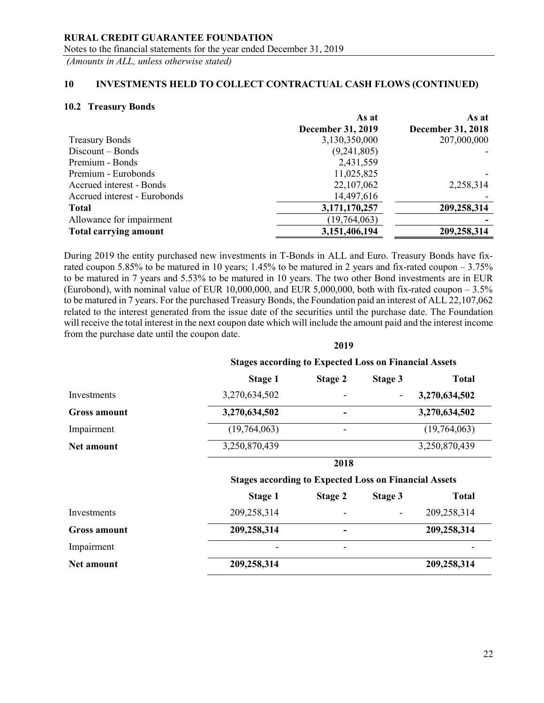Notes to the financial statements for the year ended December 31, 2019

(Amounts in ALL, unless otherwise stated)

## 10 INVESTMENTS HELD TO COLLECT CONTRACTUAL CASH FLOWS (CONTINUED)

#### 10.2 Treasury Bonds

| As at                    | As at                    |
|--------------------------|--------------------------|
| <b>December 31, 2019</b> | <b>December 31, 2018</b> |
| 3,130,350,000            | 207,000,000              |
| (9,241,805)              |                          |
| 2,431,559                |                          |
| 11,025,825               |                          |
| 22,107,062               | 2,258,314                |
| 14,497,616               |                          |
| 3,171,170,257            | 209,258,314              |
| (19,764,063)             |                          |
| 3,151,406,194            | 209,258,314              |
|                          |                          |

During 2019 the entity purchased new investments in T-Bonds in ALL and Euro. Treasury Bonds have fixrated coupon 5.85% to be matured in 10 years; 1.45% to be matured in 2 years and fix-rated coupon – 3.75% to be matured in 7 years and 5.53% to be matured in 10 years. The two other Bond investments are in EUR (Eurobond), with nominal value of EUR 10,000,000, and EUR 5,000,000, both with fix-rated coupon  $-3.5\%$ to be matured in 7 years. For the purchased Treasury Bonds, the Foundation paid an interest of ALL 22,107,062 related to the interest generated from the issue date of the securities until the purchase date. The Foundation will receive the total interest in the next coupon date which will include the amount paid and the interest income from the purchase date until the coupon date.

2019

|                     | <b>Stages according to Expected Loss on Financial Assets</b> |                |                              |               |
|---------------------|--------------------------------------------------------------|----------------|------------------------------|---------------|
|                     | Stage 1                                                      | <b>Stage 2</b> | <b>Stage 3</b>               | <b>Total</b>  |
| Investments         | 3,270,634,502                                                |                | $\qquad \qquad \blacksquare$ | 3,270,634,502 |
| <b>Gross amount</b> | 3,270,634,502                                                |                |                              | 3,270,634,502 |
| Impairment          | (19,764,063)                                                 |                |                              | (19,764,063)  |
| Net amount          | 3,250,870,439                                                |                |                              | 3,250,870,439 |
|                     |                                                              | 2018           |                              |               |
|                     | <b>Stages according to Expected Loss on Financial Assets</b> |                |                              |               |
|                     | Stage 1                                                      | <b>Stage 2</b> | Stage 3                      | <b>Total</b>  |
| Investments         | 209,258,314                                                  |                |                              | 209,258,314   |
| <b>Gross amount</b> | 209,258,314                                                  |                |                              | 209,258,314   |
| Impairment          |                                                              |                |                              |               |
| Net amount          | 209,258,314                                                  |                |                              | 209,258,314   |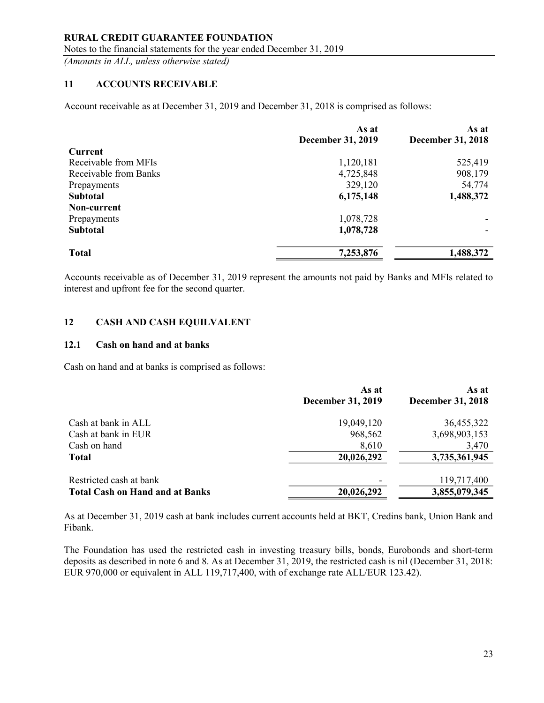#### RURAL CREDIT GUARANTEE FOUNDATION Notes to the financial statements for the year ended December 31, 2019

(Amounts in ALL, unless otherwise stated)

## 11 ACCOUNTS RECEIVABLE

Account receivable as at December 31, 2019 and December 31, 2018 is comprised as follows:

|                       | As at                    | As at                    |
|-----------------------|--------------------------|--------------------------|
|                       | <b>December 31, 2019</b> | <b>December 31, 2018</b> |
| <b>Current</b>        |                          |                          |
| Receivable from MFIs  | 1,120,181                | 525,419                  |
| Receivable from Banks | 4,725,848                | 908,179                  |
| Prepayments           | 329,120                  | 54,774                   |
| <b>Subtotal</b>       | 6,175,148                | 1,488,372                |
| Non-current           |                          |                          |
| Prepayments           | 1,078,728                |                          |
| <b>Subtotal</b>       | 1,078,728                |                          |
| <b>Total</b>          | 7,253,876                | 1,488,372                |

Accounts receivable as of December 31, 2019 represent the amounts not paid by Banks and MFIs related to interest and upfront fee for the second quarter.

## 12 CASH AND CASH EQUILVALENT

#### 12.1 Cash on hand and at banks

Cash on hand and at banks is comprised as follows:

|                                        | As at                    | As at             |
|----------------------------------------|--------------------------|-------------------|
|                                        | <b>December 31, 2019</b> | December 31, 2018 |
| Cash at bank in ALL                    | 19,049,120               | 36,455,322        |
| Cash at bank in EUR                    | 968,562                  | 3,698,903,153     |
| Cash on hand                           | 8,610                    | 3,470             |
| <b>Total</b>                           | 20,026,292               | 3,735,361,945     |
| Restricted cash at bank                |                          | 119,717,400       |
| <b>Total Cash on Hand and at Banks</b> | 20,026,292               | 3,855,079,345     |

As at December 31, 2019 cash at bank includes current accounts held at BKT, Credins bank, Union Bank and Fibank.

The Foundation has used the restricted cash in investing treasury bills, bonds, Eurobonds and short-term deposits as described in note 6 and 8. As at December 31, 2019, the restricted cash is nil (December 31, 2018: EUR 970,000 or equivalent in ALL 119,717,400, with of exchange rate ALL/EUR 123.42).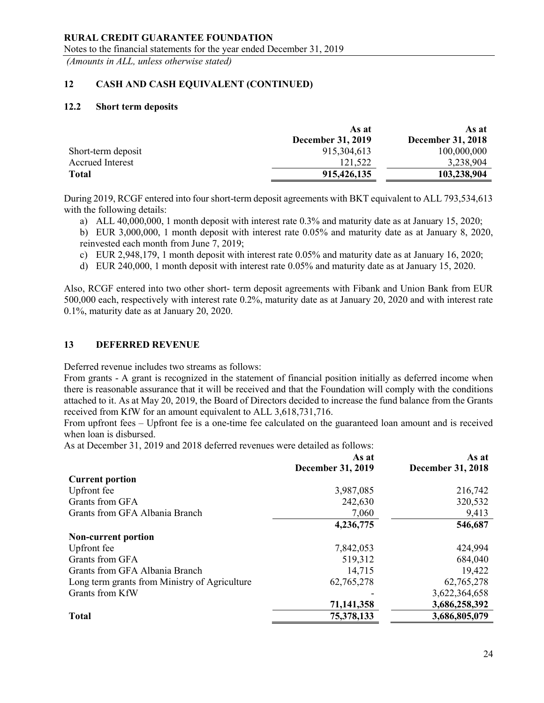Notes to the financial statements for the year ended December 31, 2019

(Amounts in ALL, unless otherwise stated)

# 12 CASH AND CASH EQUIVALENT (CONTINUED)

#### 12.2 Short term deposits

|                         | As at                    | As at                    |
|-------------------------|--------------------------|--------------------------|
|                         | <b>December 31, 2019</b> | <b>December 31, 2018</b> |
| Short-term deposit      | 915, 304, 613            | 100,000,000              |
| <b>Accrued Interest</b> | 121,522                  | 3,238,904                |
| <b>Total</b>            | 915,426,135              | 103,238,904              |

During 2019, RCGF entered into four short-term deposit agreements with BKT equivalent to ALL 793,534,613 with the following details:

a) ALL 40,000,000, 1 month deposit with interest rate 0.3% and maturity date as at January 15, 2020;

b) EUR 3,000,000, 1 month deposit with interest rate 0.05% and maturity date as at January 8, 2020, reinvested each month from June 7, 2019;

c) EUR 2,948,179, 1 month deposit with interest rate 0.05% and maturity date as at January 16, 2020;

d) EUR 240,000, 1 month deposit with interest rate 0.05% and maturity date as at January 15, 2020.

Also, RCGF entered into two other short- term deposit agreements with Fibank and Union Bank from EUR 500,000 each, respectively with interest rate 0.2%, maturity date as at January 20, 2020 and with interest rate 0.1%, maturity date as at January 20, 2020.

### 13 DEFERRED REVENUE

Deferred revenue includes two streams as follows:

From grants - A grant is recognized in the statement of financial position initially as deferred income when there is reasonable assurance that it will be received and that the Foundation will comply with the conditions attached to it. As at May 20, 2019, the Board of Directors decided to increase the fund balance from the Grants received from KfW for an amount equivalent to ALL 3,618,731,716.

From upfront fees – Upfront fee is a one-time fee calculated on the guaranteed loan amount and is received when loan is disbursed.

As at December 31, 2019 and 2018 deferred revenues were detailed as follows:

|                                               | As at<br><b>December 31, 2019</b> | As at<br><b>December 31, 2018</b> |
|-----------------------------------------------|-----------------------------------|-----------------------------------|
| <b>Current portion</b>                        |                                   |                                   |
| Upfront fee                                   | 3,987,085                         | 216,742                           |
| Grants from GFA                               | 242,630                           | 320,532                           |
| Grants from GFA Albania Branch                | 7,060                             | 9,413                             |
|                                               | 4,236,775                         | 546,687                           |
| <b>Non-current portion</b>                    |                                   |                                   |
| Upfront fee                                   | 7,842,053                         | 424,994                           |
| Grants from GFA                               | 519,312                           | 684,040                           |
| Grants from GFA Albania Branch                | 14,715                            | 19,422                            |
| Long term grants from Ministry of Agriculture | 62,765,278                        | 62,765,278                        |
| Grants from KfW                               |                                   | 3,622,364,658                     |
|                                               | 71,141,358                        | 3,686,258,392                     |
| <b>Total</b>                                  | 75,378,133                        | 3,686,805,079                     |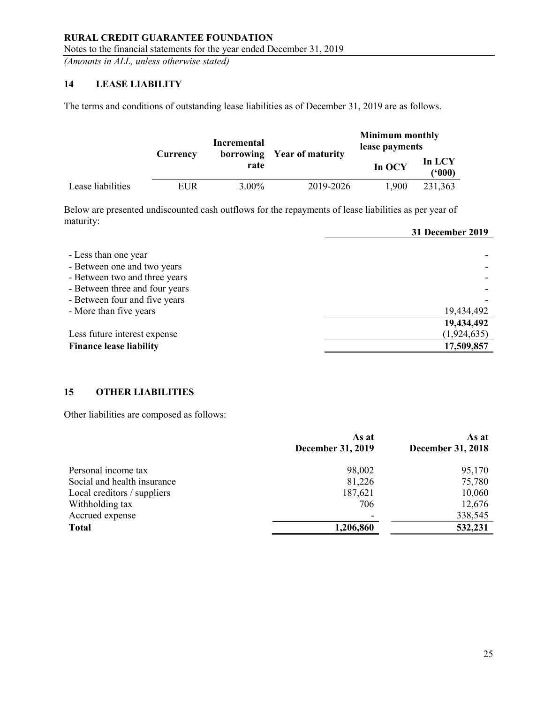# 14 LEASE LIABILITY

The terms and conditions of outstanding lease liabilities as of December 31, 2019 are as follows.

|                   |          | Incremental |                            |        | <b>Minimum monthly</b><br>lease payments |  |
|-------------------|----------|-------------|----------------------------|--------|------------------------------------------|--|
|                   | Currency | rate        | borrowing Year of maturity | In OCY | In LCY<br>(5000)                         |  |
| Lease liabilities | EUR      | 3.00%       | 2019-2026                  | 1.900  | 231.363                                  |  |

Below are presented undiscounted cash outflows for the repayments of lease liabilities as per year of maturity:

|                                                                                                                                                                                   | 31 December 2019                        |
|-----------------------------------------------------------------------------------------------------------------------------------------------------------------------------------|-----------------------------------------|
| - Less than one year<br>- Between one and two years<br>- Between two and three years<br>- Between three and four years<br>- Between four and five years<br>- More than five years | 19,434,492                              |
| Less future interest expense<br><b>Finance lease liability</b>                                                                                                                    | 19,434,492<br>(1,924,635)<br>17,509,857 |

## 15 OTHER LIABILITIES

Other liabilities are composed as follows:

|                             | As at<br><b>December 31, 2019</b> | As at<br><b>December 31, 2018</b> |
|-----------------------------|-----------------------------------|-----------------------------------|
| Personal income tax         | 98,002                            | 95,170                            |
| Social and health insurance | 81,226                            | 75,780                            |
| Local creditors / suppliers | 187,621                           | 10,060                            |
| Withholding tax             | 706                               | 12,676                            |
| Accrued expense             | $\overline{\phantom{0}}$          | 338,545                           |
| <b>Total</b>                | 1,206,860                         | 532,231                           |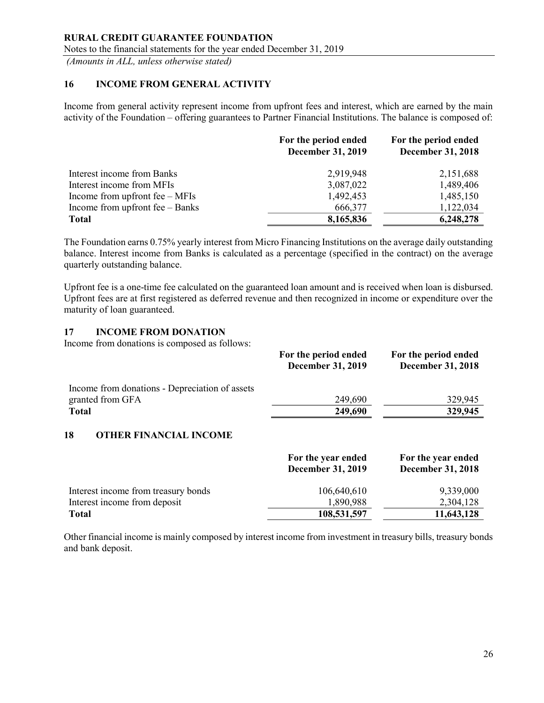## 16 INCOME FROM GENERAL ACTIVITY

Income from general activity represent income from upfront fees and interest, which are earned by the main activity of the Foundation – offering guarantees to Partner Financial Institutions. The balance is composed of:

|                                  | For the period ended<br><b>December 31, 2019</b> | For the period ended<br><b>December 31, 2018</b> |
|----------------------------------|--------------------------------------------------|--------------------------------------------------|
| Interest income from Banks       | 2,919,948                                        | 2,151,688                                        |
| Interest income from MFIs        | 3,087,022                                        | 1,489,406                                        |
| Income from upfront $fee - MFIs$ | 1,492,453                                        | 1,485,150                                        |
| Income from upfront fee - Banks  | 666,377                                          | 1,122,034                                        |
| <b>Total</b>                     | 8,165,836                                        | 6,248,278                                        |

The Foundation earns 0.75% yearly interest from Micro Financing Institutions on the average daily outstanding balance. Interest income from Banks is calculated as a percentage (specified in the contract) on the average quarterly outstanding balance.

Upfront fee is a one-time fee calculated on the guaranteed loan amount and is received when loan is disbursed. Upfront fees are at first registered as deferred revenue and then recognized in income or expenditure over the maturity of loan guaranteed.

## 17 INCOME FROM DONATION

Income from donations is composed as follows:

|                                                | For the period ended<br><b>December 31, 2019</b> | For the period ended<br><b>December 31, 2018</b> |
|------------------------------------------------|--------------------------------------------------|--------------------------------------------------|
| Income from donations - Depreciation of assets |                                                  |                                                  |
| granted from GFA                               | 249,690                                          | 329,945                                          |
| <b>Total</b>                                   | 249,690                                          | 329,945                                          |
| 18<br><b>OTHER FINANCIAL INCOME</b>            | For the year ended<br><b>December 31, 2019</b>   | For the year ended<br><b>December 31, 2018</b>   |
| Interest income from treasury bonds            | 106,640,610                                      | 9,339,000                                        |
| Interest income from deposit                   | 1,890,988                                        | 2,304,128                                        |
| <b>Total</b>                                   | 108,531,597                                      | 11,643,128                                       |

Other financial income is mainly composed by interest income from investment in treasury bills, treasury bonds and bank deposit.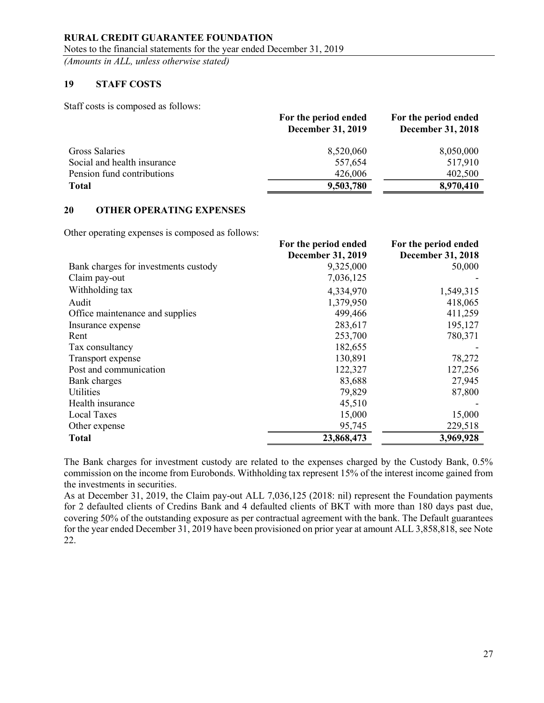## 19 STAFF COSTS

Staff costs is composed as follows:

|                             | For the period ended<br><b>December 31, 2019</b> | For the period ended<br><b>December 31, 2018</b> |
|-----------------------------|--------------------------------------------------|--------------------------------------------------|
| Gross Salaries              | 8,520,060                                        | 8,050,000                                        |
| Social and health insurance | 557,654                                          | 517,910                                          |
| Pension fund contributions  | 426,006                                          | 402,500                                          |
| <b>Total</b>                | 9,503,780                                        | 8,970,410                                        |
|                             |                                                  |                                                  |

## 20 OTHER OPERATING EXPENSES

Other operating expenses is composed as follows:

|                                      | For the period ended     | For the period ended     |
|--------------------------------------|--------------------------|--------------------------|
|                                      | <b>December 31, 2019</b> | <b>December 31, 2018</b> |
| Bank charges for investments custody | 9,325,000                | 50,000                   |
| Claim pay-out                        | 7,036,125                |                          |
| Withholding tax                      | 4,334,970                | 1,549,315                |
| Audit                                | 1,379,950                | 418,065                  |
| Office maintenance and supplies      | 499,466                  | 411,259                  |
| Insurance expense                    | 283,617                  | 195,127                  |
| Rent                                 | 253,700                  | 780,371                  |
| Tax consultancy                      | 182,655                  |                          |
| Transport expense                    | 130,891                  | 78,272                   |
| Post and communication               | 122,327                  | 127,256                  |
| Bank charges                         | 83,688                   | 27,945                   |
| Utilities                            | 79,829                   | 87,800                   |
| Health insurance                     | 45,510                   |                          |
| <b>Local Taxes</b>                   | 15,000                   | 15,000                   |
| Other expense                        | 95,745                   | 229,518                  |
| <b>Total</b>                         | 23,868,473               | 3,969,928                |

The Bank charges for investment custody are related to the expenses charged by the Custody Bank, 0.5% commission on the income from Eurobonds. Withholding tax represent 15% of the interest income gained from the investments in securities.

As at December 31, 2019, the Claim pay-out ALL 7,036,125 (2018: nil) represent the Foundation payments for 2 defaulted clients of Credins Bank and 4 defaulted clients of BKT with more than 180 days past due, covering 50% of the outstanding exposure as per contractual agreement with the bank. The Default guarantees for the year ended December 31, 2019 have been provisioned on prior year at amount ALL 3,858,818, see Note 22.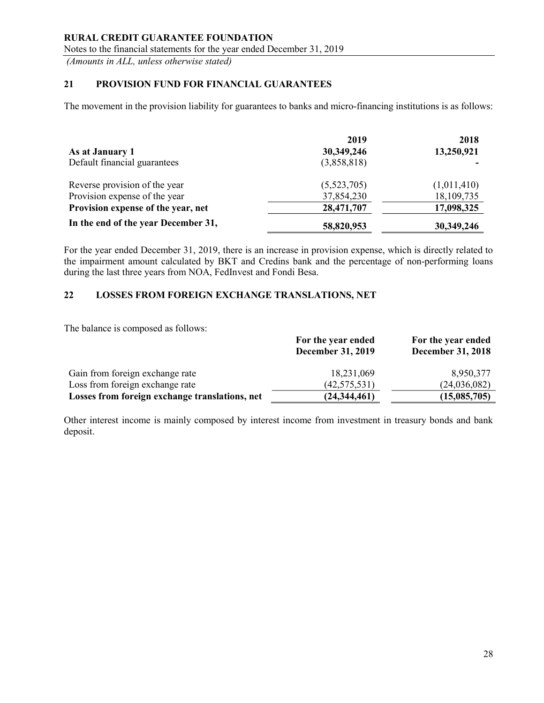Notes to the financial statements for the year ended December 31, 2019

(Amounts in ALL, unless otherwise stated)

## 21 PROVISION FUND FOR FINANCIAL GUARANTEES

The movement in the provision liability for guarantees to banks and micro-financing institutions is as follows:

|                                     | 2019        | 2018        |
|-------------------------------------|-------------|-------------|
| As at January 1                     | 30,349,246  | 13,250,921  |
| Default financial guarantees        | (3,858,818) |             |
| Reverse provision of the year       | (5,523,705) | (1,011,410) |
| Provision expense of the year       | 37,854,230  | 18,109,735  |
| Provision expense of the year, net  | 28,471,707  | 17,098,325  |
| In the end of the year December 31, | 58,820,953  | 30,349,246  |

For the year ended December 31, 2019, there is an increase in provision expense, which is directly related to the impairment amount calculated by BKT and Credins bank and the percentage of non-performing loans during the last three years from NOA, FedInvest and Fondi Besa.

# 22 LOSSES FROM FOREIGN EXCHANGE TRANSLATIONS, NET

The balance is composed as follows:

|                                                | For the year ended<br><b>December 31, 2019</b> | For the year ended<br><b>December 31, 2018</b> |
|------------------------------------------------|------------------------------------------------|------------------------------------------------|
| Gain from foreign exchange rate                | 18,231,069                                     | 8,950,377                                      |
| Loss from foreign exchange rate                | (42, 575, 531)                                 | (24,036,082)                                   |
| Losses from foreign exchange translations, net | (24, 344, 461)                                 | (15,085,705)                                   |

Other interest income is mainly composed by interest income from investment in treasury bonds and bank deposit.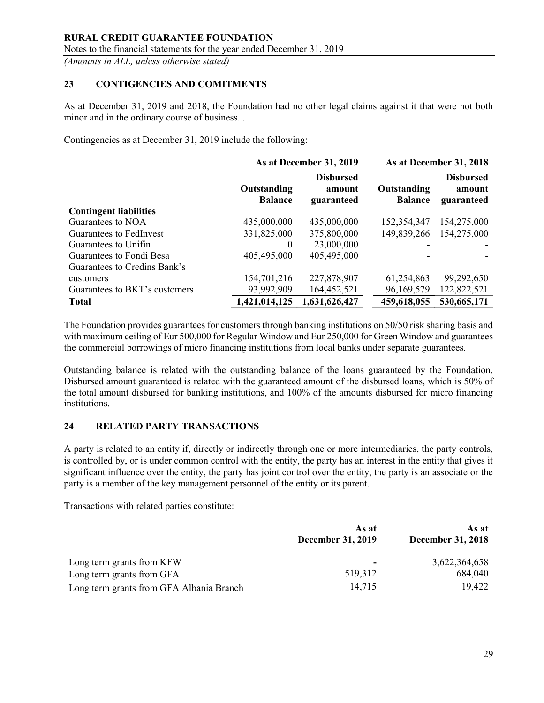## 23 CONTIGENCIES AND COMITMENTS

As at December 31, 2019 and 2018, the Foundation had no other legal claims against it that were not both minor and in the ordinary course of business. .

Contingencies as at December 31, 2019 include the following:

|                               | As at December 31, 2019       |                                          | As at December 31, 2018       |                                          |
|-------------------------------|-------------------------------|------------------------------------------|-------------------------------|------------------------------------------|
|                               | Outstanding<br><b>Balance</b> | <b>Disbursed</b><br>amount<br>guaranteed | Outstanding<br><b>Balance</b> | <b>Disbursed</b><br>amount<br>guaranteed |
| <b>Contingent liabilities</b> |                               |                                          |                               |                                          |
| Guarantees to NOA             | 435,000,000                   | 435,000,000                              | 152,354,347                   | 154,275,000                              |
| Guarantees to FedInvest       | 331,825,000                   | 375,800,000                              | 149,839,266                   | 154,275,000                              |
| Guarantees to Unifin          | $\theta$                      | 23,000,000                               |                               |                                          |
| Guarantees to Fondi Besa      | 405,495,000                   | 405,495,000                              |                               |                                          |
| Guarantees to Credins Bank's  |                               |                                          |                               |                                          |
| customers                     | 154,701,216                   | 227,878,907                              | 61,254,863                    | 99,292,650                               |
| Guarantees to BKT's customers | 93,992,909                    | 164,452,521                              | 96,169,579                    | 122,822,521                              |
| <b>Total</b>                  | 1,421,014,125                 | 1,631,626,427                            | 459,618,055                   | 530,665,171                              |

The Foundation provides guarantees for customers through banking institutions on 50/50 risk sharing basis and with maximum ceiling of Eur 500,000 for Regular Window and Eur 250,000 for Green Window and guarantees the commercial borrowings of micro financing institutions from local banks under separate guarantees.

Outstanding balance is related with the outstanding balance of the loans guaranteed by the Foundation. Disbursed amount guaranteed is related with the guaranteed amount of the disbursed loans, which is 50% of the total amount disbursed for banking institutions, and 100% of the amounts disbursed for micro financing institutions.

### 24 RELATED PARTY TRANSACTIONS

A party is related to an entity if, directly or indirectly through one or more intermediaries, the party controls, is controlled by, or is under common control with the entity, the party has an interest in the entity that gives it significant influence over the entity, the party has joint control over the entity, the party is an associate or the party is a member of the key management personnel of the entity or its parent.

Transactions with related parties constitute:

|                                          | As at<br>December 31, 2019 | As at<br><b>December 31, 2018</b> |
|------------------------------------------|----------------------------|-----------------------------------|
| Long term grants from KFW                | ۰                          | 3,622,364,658                     |
| Long term grants from GFA                | 519,312                    | 684,040                           |
| Long term grants from GFA Albania Branch | 14,715                     | 19,422                            |